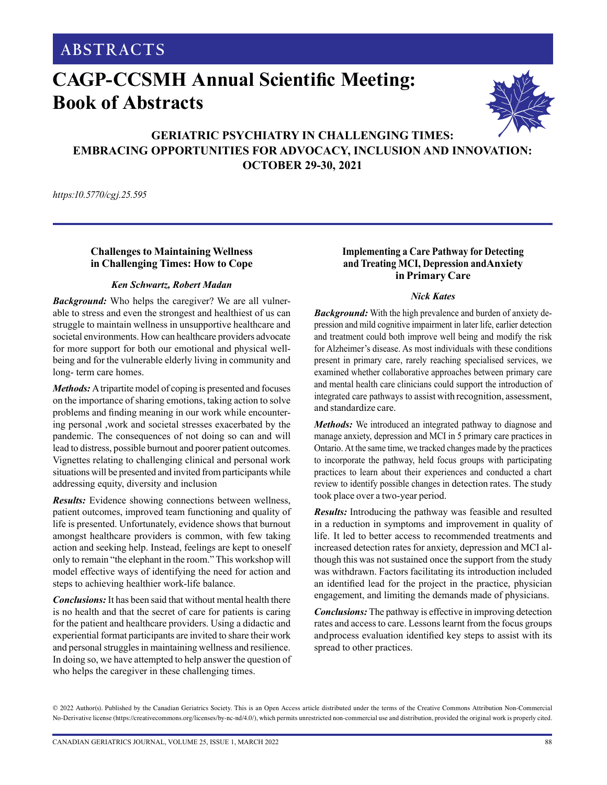**ABSTRACTS**

# **CAGP-CCSMH Annual Scientific Meeting: Book of Abstracts**



# **GERIATRIC PSYCHIATRY IN CHALLENGING TIMES: EMBRACING OPPORTUNITIES FOR ADVOCACY, INCLUSION AND INNOVATION: OCTOBER 29-30, 2021**

BACSU: FAMILY PHYSICIANS AND DEMENTIA CARE

*https:10.5770/cgj.25.59510.5770/cgj.24.573*

## **Challenges to Maintaining Wellness in Challenging Times: How to Cope**

#### *Ken Schwartz, Robert Madan*

*Background:* Who helps the caregiver? We are all vulnerable to stress and even the strongest and healthiest of us can struggle to maintain wellness in unsupportive healthcare and societal environments. How can healthcare providers advocate for more support for both our emotional and physical wellbeing and for the vulnerable elderly living in community and long- term care homes.

*Methods:* A tripartite model of coping is presented and focuses on the importance of sharing emotions, taking action to solve problems and finding meaning in our work while encountering personal ,work and societal stresses exacerbated by the pandemic. The consequences of not doing so can and will lead to distress, possible burnout and poorer patient outcomes. Vignettes relating to challenging clinical and personal work situations will be presented and invited from participants while addressing equity, diversity and inclusion

*Results:* Evidence showing connections between wellness, patient outcomes, improved team functioning and quality of life is presented. Unfortunately, evidence shows that burnout amongst healthcare providers is common, with few taking action and seeking help. Instead, feelings are kept to oneself only to remain "the elephant in the room." This workshop will model effective ways of identifying the need for action and steps to achieving healthier work-life balance.

*Conclusions:* It has been said that without mental health there is no health and that the secret of care for patients is caring for the patient and healthcare providers. Using a didactic and experiential format participants are invited to share their work and personal struggles in maintaining wellness and resilience. In doing so, we have attempted to help answer the question of who helps the caregiver in these challenging times.

#### **Implementing a Care Pathway for Detecting and Treating MCI, Depression and Anxiety in Primary Care**

#### *Nick Kates*

*Background:* With the high prevalence and burden of anxiety depression and mild cognitive impairment in later life, earlier detection and treatment could both improve well being and modify the risk for Alzheimer's disease. As most individuals with these conditions present in primary care, rarely reaching specialised services, we examined whether collaborative approaches between primary care and mental health care clinicians could support the introduction of integrated care pathways to assist with recognition, assessment, and standardize care.

*Methods:* We introduced an integrated pathway to diagnose and manage anxiety, depression and MCI in 5 primary care practices in Ontario. At the same time, we tracked changes made by the practices to incorporate the pathway, held focus groups with participating practices to learn about their experiences and conducted a chart review to identify possible changes in detection rates. The study took place over a two-year period.

*Results:* Introducing the pathway was feasible and resulted in a reduction in symptoms and improvement in quality of life. It led to better access to recommended treatments and increased detection rates for anxiety, depression and MCI although this was not sustained once the support from the study was withdrawn. Factors facilitating its introduction included an identified lead for the project in the practice, physician engagement, and limiting the demands made of physicians.

*Conclusions:* The pathway is effective in improving detection rates and access to care. Lessons learnt from the focus groups and process evaluation identified key steps to assist with its spread to other practices.

© 2022 Author(s). Published by the Canadian Geriatrics Society. This is an Open Access article distributed under the terms of the Creative Commons Attribution Non-Commercial No-Derivative license (https://creativecommons.org/licenses/by-nc-nd/4.0/), which permits unrestricted non-commercial use and distribution, provided the original work is properly cited.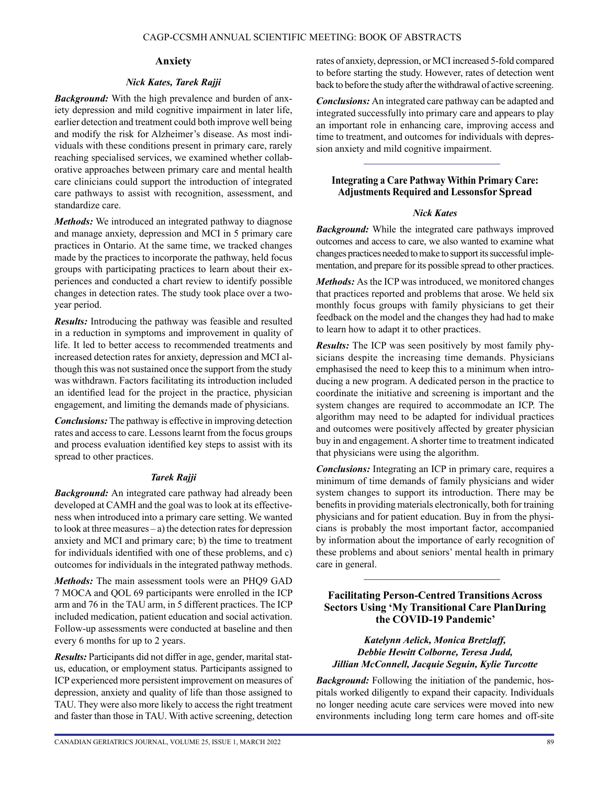#### **Anxiety**

#### *Nick Kates, Tarek Rajji*

*Background:* With the high prevalence and burden of anxiety depression and mild cognitive impairment in later life, earlier detection and treatment could both improve well being and modify the risk for Alzheimer's disease. As most individuals with these conditions present in primary care, rarely reaching specialised services, we examined whether collaborative approaches between primary care and mental health care clinicians could support the introduction of integrated care pathways to assist with recognition, assessment, and standardize care.

*Methods:* We introduced an integrated pathway to diagnose and manage anxiety, depression and MCI in 5 primary care practices in Ontario. At the same time, we tracked changes made by the practices to incorporate the pathway, held focus groups with participating practices to learn about their experiences and conducted a chart review to identify possible changes in detection rates. The study took place over a twoyear period.

*Results:* Introducing the pathway was feasible and resulted in a reduction in symptoms and improvement in quality of life. It led to better access to recommended treatments and increased detection rates for anxiety, depression and MCI although this was not sustained once the support from the study was withdrawn. Factors facilitating its introduction included an identified lead for the project in the practice, physician engagement, and limiting the demands made of physicians.

*Conclusions:* The pathway is effective in improving detection rates and access to care. Lessons learnt from the focus groups and process evaluation identified key steps to assist with its spread to other practices.

#### *Tarek Rajji*

*Background:* An integrated care pathway had already been developed at CAMH and the goal was to look at its effectiveness when introduced into a primary care setting. We wanted to look at three measures – a) the detection rates for depression anxiety and MCI and primary care; b) the time to treatment for individuals identified with one of these problems, and c) outcomes for individuals in the integrated pathway methods.

*Methods:* The main assessment tools were an PHQ9 GAD 7 MOCA and QOL 69 participants were enrolled in the ICP arm and 76 in the TAU arm, in 5 different practices. The ICP included medication, patient education and social activation. Follow-up assessments were conducted at baseline and then every 6 months for up to 2 years.

*Results:* Participants did not differ in age, gender, marital status, education, or employment status. Participants assigned to ICP experienced more persistent improvement on measures of depression, anxiety and quality of life than those assigned to TAU. They were also more likely to access the right treatment and faster than those in TAU. With active screening, detection rates of anxiety, depression, or MCI increased 5-fold compared to before starting the study. However, rates of detection went back to before the study after the withdrawal of active screening.

*Conclusions:* An integrated care pathway can be adapted and integrated successfully into primary care and appears to play an important role in enhancing care, improving access and time to treatment, and outcomes for individuals with depression anxiety and mild cognitive impairment.

## **Integrating a Care Pathway Within Primary Care: Adjustments Required and Lessons for Spread**

#### *Nick Kates*

*Background:* While the integrated care pathways improved outcomes and access to care, we also wanted to examine what changes practices needed to make to support its successful implementation, and prepare for its possible spread to other practices.

*Methods:* As the ICP was introduced, we monitored changes that practices reported and problems that arose. We held six monthly focus groups with family physicians to get their feedback on the model and the changes they had had to make to learn how to adapt it to other practices.

*Results:* The ICP was seen positively by most family physicians despite the increasing time demands. Physicians emphasised the need to keep this to a minimum when introducing a new program. A dedicated person in the practice to coordinate the initiative and screening is important and the system changes are required to accommodate an ICP. The algorithm may need to be adapted for individual practices and outcomes were positively affected by greater physician buy in and engagement. A shorter time to treatment indicated that physicians were using the algorithm.

*Conclusions:* Integrating an ICP in primary care, requires a minimum of time demands of family physicians and wider system changes to support its introduction. There may be benefits in providing materials electronically, both for training physicians and for patient education. Buy in from the physicians is probably the most important factor, accompanied by information about the importance of early recognition of these problems and about seniors' mental health in primary care in general.

## **Facilitating Person-Centred Transitions Across Sectors Using 'My Transitional Care Plan During the COVID-19 Pandemic'**

*Katelynn Aelick, Monica Bretzlaff, Debbie Hewitt Colborne, Teresa Judd, Jillian McConnell, Jacquie Seguin, Kylie Turcotte*

*Background:* Following the initiation of the pandemic, hospitals worked diligently to expand their capacity. Individuals no longer needing acute care services were moved into new environments including long term care homes and off-site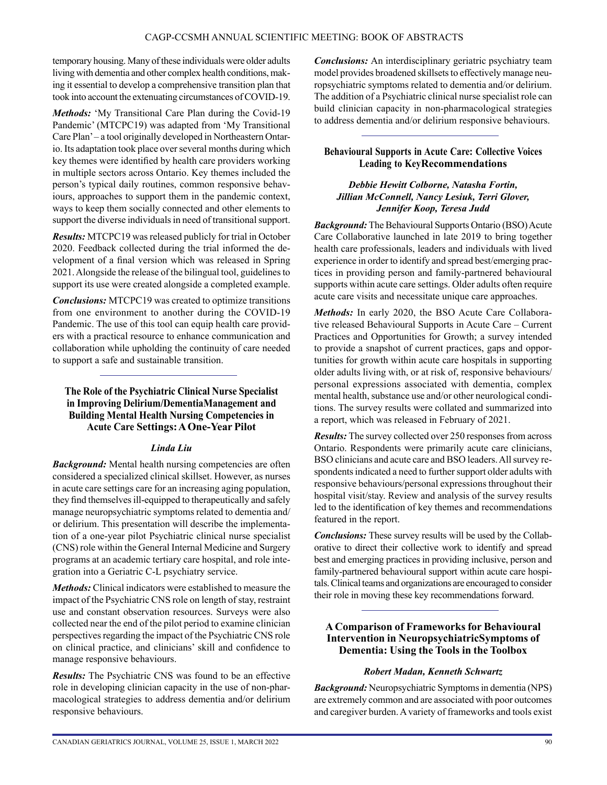temporary housing. Many of these individuals were older adults living with dementia and other complex health conditions, making it essential to develop a comprehensive transition plan that took into account the extenuating circumstances of COVID-19.

*Methods:* 'My Transitional Care Plan during the Covid-19 Pandemic' (MTCPC19) was adapted from 'My Transitional Care Plan' – a tool originally developed in Northeastern Ontario. Its adaptation took place over several months during which key themes were identified by health care providers working in multiple sectors across Ontario. Key themes included the person's typical daily routines, common responsive behaviours, approaches to support them in the pandemic context, ways to keep them socially connected and other elements to support the diverse individuals in need of transitional support.

*Results:* MTCPC19 was released publicly for trial in October 2020. Feedback collected during the trial informed the development of a final version which was released in Spring 2021. Alongside the release of the bilingual tool, guidelines to support its use were created alongside a completed example.

*Conclusions:* MTCPC19 was created to optimize transitions from one environment to another during the COVID-19 Pandemic. The use of this tool can equip health care providers with a practical resource to enhance communication and collaboration while upholding the continuity of care needed to support a safe and sustainable transition.

## **The Role of the Psychiatric Clinical Nurse Specialist in Improving Delirium/Dementia Management and Building Mental Health Nursing Competencies in Acute Care Settings: A One-Year Pilot**

## *Linda Liu*

*Background:* Mental health nursing competencies are often considered a specialized clinical skillset. However, as nurses in acute care settings care for an increasing aging population, they find themselves ill-equipped to therapeutically and safely manage neuropsychiatric symptoms related to dementia and/ or delirium. This presentation will describe the implementation of a one-year pilot Psychiatric clinical nurse specialist (CNS) role within the General Internal Medicine and Surgery programs at an academic tertiary care hospital, and role integration into a Geriatric C-L psychiatry service.

*Methods:* Clinical indicators were established to measure the impact of the Psychiatric CNS role on length of stay, restraint use and constant observation resources. Surveys were also collected near the end of the pilot period to examine clinician perspectives regarding the impact of the Psychiatric CNS role on clinical practice, and clinicians' skill and confidence to manage responsive behaviours.

*Results:* The Psychiatric CNS was found to be an effective role in developing clinician capacity in the use of non-pharmacological strategies to address dementia and/or delirium responsive behaviours.

*Conclusions:* An interdisciplinary geriatric psychiatry team model provides broadened skillsets to effectively manage neuropsychiatric symptoms related to dementia and/or delirium. The addition of a Psychiatric clinical nurse specialist role can build clinician capacity in non-pharmacological strategies to address dementia and/or delirium responsive behaviours.

## **Behavioural Supports in Acute Care: Collective Voices Leading to Key Recommendations**

## *Debbie Hewitt Colborne, Natasha Fortin, Jillian McConnell, Nancy Lesiuk, Terri Glover, Jennifer Koop, Teresa Judd*

*Background:* The Behavioural Supports Ontario (BSO) Acute Care Collaborative launched in late 2019 to bring together health care professionals, leaders and individuals with lived experience in order to identify and spread best/emerging practices in providing person and family-partnered behavioural supports within acute care settings. Older adults often require acute care visits and necessitate unique care approaches.

*Methods:* In early 2020, the BSO Acute Care Collaborative released Behavioural Supports in Acute Care – Current Practices and Opportunities for Growth; a survey intended to provide a snapshot of current practices, gaps and opportunities for growth within acute care hospitals in supporting older adults living with, or at risk of, responsive behaviours/ personal expressions associated with dementia, complex mental health, substance use and/or other neurological conditions. The survey results were collated and summarized into a report, which was released in February of 2021.

*Results:* The survey collected over 250 responses from across Ontario. Respondents were primarily acute care clinicians, BSO clinicians and acute care and BSO leaders. All survey respondents indicated a need to further support older adults with responsive behaviours/personal expressions throughout their hospital visit/stay. Review and analysis of the survey results led to the identification of key themes and recommendations featured in the report.

*Conclusions:* These survey results will be used by the Collaborative to direct their collective work to identify and spread best and emerging practices in providing inclusive, person and family-partnered behavioural support within acute care hospitals. Clinical teams and organizations are encouraged to consider their role in moving these key recommendations forward.

## **A Comparison of Frameworks for Behavioural Intervention in Neuropsychiatric Symptoms of Dementia: Using the Tools in the Toolbox**

## *Robert Madan, Kenneth Schwartz*

*Background:* Neuropsychiatric Symptoms in dementia (NPS) are extremely common and are associated with poor outcomes and caregiver burden. A variety of frameworks and tools exist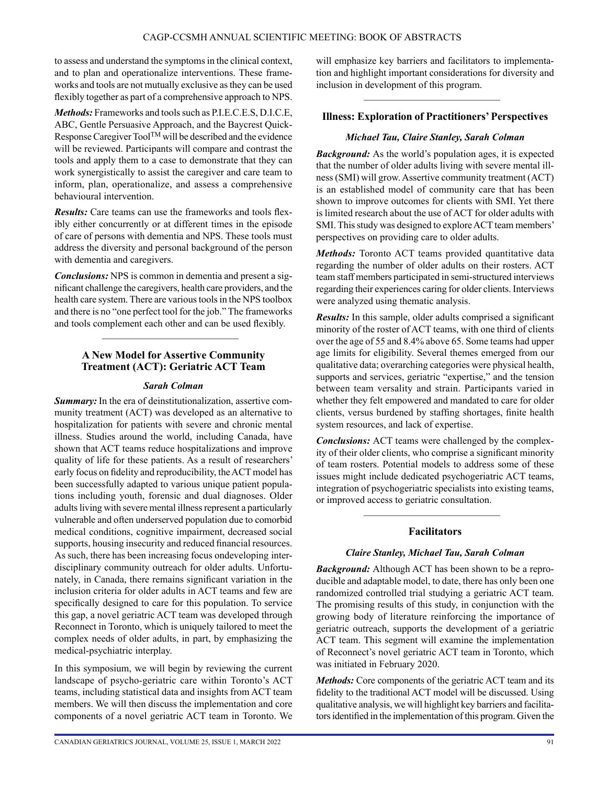to assess and understand the symptoms in the clinical context, and to plan and operationalize interventions. These frameworks and tools are not mutually exclusive as they can be used flexibly together as part of a comprehensive approach to NPS.

*Methods:* Frameworks and tools such as P.I.E.C.E.S, D.I.C.E, ABC, Gentle Persuasive Approach, and the Baycrest Quick-Response Caregiver ToolTM will be described and the evidence will be reviewed. Participants will compare and contrast the tools and apply them to a case to demonstrate that they can work synergistically to assist the caregiver and care team to inform, plan, operationalize, and assess a comprehensive behavioural intervention.

*Results:* Care teams can use the frameworks and tools flexibly either concurrently or at different times in the episode of care of persons with dementia and NPS. These tools must address the diversity and personal background of the person with dementia and caregivers.

*Conclusions:* NPS is common in dementia and present a significant challenge the caregivers, health care providers, and the health care system. There are various tools in the NPS toolbox and there is no "one perfect tool for the job." The frameworks and tools complement each other and can be used flexibly.

## **A New Model for Assertive Community Treatment (ACT): Geriatric ACT Team**

#### *Sarah Colman*

*Summary:* In the era of deinstitutionalization, assertive community treatment (ACT) was developed as an alternative to hospitalization for patients with severe and chronic mental illness. Studies around the world, including Canada, have shown that ACT teams reduce hospitalizations and improve quality of life for these patients. As a result of researchers' early focus on fidelity and reproducibility, the ACT model has been successfully adapted to various unique patient populations including youth, forensic and dual diagnoses. Older adults living with severe mental illness represent a particularly vulnerable and often underserved population due to comorbid medical conditions, cognitive impairment, decreased social supports, housing insecurity and reduced financial resources. As such, there has been increasing focus ondeveloping interdisciplinary community outreach for older adults. Unfortunately, in Canada, there remains significant variation in the inclusion criteria for older adults in ACT teams and few are specifically designed to care for this population. To service this gap, a novel geriatric ACT team was developed through Reconnect in Toronto, which is uniquely tailored to meet the complex needs of older adults, in part, by emphasizing the medical-psychiatric interplay.

In this symposium, we will begin by reviewing the current landscape of psycho-geriatric care within Toronto's ACT teams, including statistical data and insights from ACT team members. We will then discuss the implementation and core components of a novel geriatric ACT team in Toronto. We will emphasize key barriers and facilitators to implementation and highlight important considerations for diversity and inclusion in development of this program.

## **Illness: Exploration of Practitioners' Perspectives**

## *Michael Tau, Claire Stanley, Sarah Colman*

*Background:* As the world's population ages, it is expected that the number of older adults living with severe mental illness (SMI) will grow. Assertive community treatment (ACT) is an established model of community care that has been shown to improve outcomes for clients with SMI. Yet there is limited research about the use of ACT for older adults with SMI. This study was designed to explore ACT team members' perspectives on providing care to older adults.

*Methods:* Toronto ACT teams provided quantitative data regarding the number of older adults on their rosters. ACT team staff members participated in semi-structured interviews regarding their experiences caring for older clients. Interviews were analyzed using thematic analysis.

*Results:* In this sample, older adults comprised a significant minority of the roster of ACT teams, with one third of clients over the age of 55 and 8.4% above 65. Some teams had upper age limits for eligibility. Several themes emerged from our qualitative data; overarching categories were physical health, supports and services, geriatric "expertise," and the tension between team versality and strain. Participants varied in whether they felt empowered and mandated to care for older clients, versus burdened by staffing shortages, finite health system resources, and lack of expertise.

*Conclusions:* ACT teams were challenged by the complexity of their older clients, who comprise a significant minority of team rosters. Potential models to address some of these issues might include dedicated psychogeriatric ACT teams, integration of psychogeriatric specialists into existing teams, or improved access to geriatric consultation.

## **Facilitators**

## *Claire Stanley, Michael Tau, Sarah Colman*

*Background:* Although ACT has been shown to be a reproducible and adaptable model, to date, there has only been one randomized controlled trial studying a geriatric ACT team. The promising results of this study, in conjunction with the growing body of literature reinforcing the importance of geriatric outreach, supports the development of a geriatric ACT team. This segment will examine the implementation of Reconnect's novel geriatric ACT team in Toronto, which was initiated in February 2020.

*Methods:* Core components of the geriatric ACT team and its fidelity to the traditional ACT model will be discussed. Using qualitative analysis, we will highlight key barriers and facilitators identified in the implementation of this program. Given the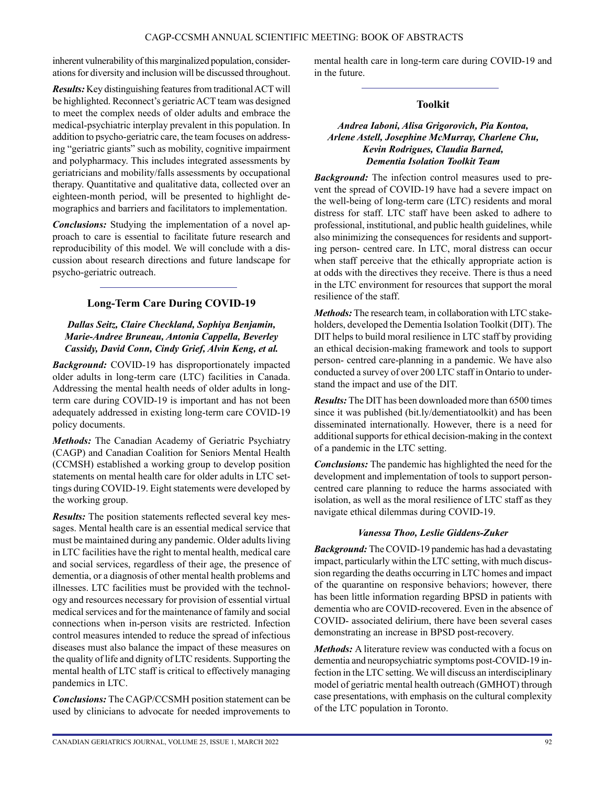inherent vulnerability of this marginalized population, considerations for diversity and inclusion will be discussed throughout.

*Results:* Key distinguishing features from traditional ACT will be highlighted. Reconnect's geriatric ACT team was designed to meet the complex needs of older adults and embrace the medical-psychiatric interplay prevalent in this population. In addition to psycho-geriatric care, the team focuses on addressing "geriatric giants" such as mobility, cognitive impairment and polypharmacy. This includes integrated assessments by geriatricians and mobility/falls assessments by occupational therapy. Quantitative and qualitative data, collected over an eighteen-month period, will be presented to highlight demographics and barriers and facilitators to implementation.

*Conclusions:* Studying the implementation of a novel approach to care is essential to facilitate future research and reproducibility of this model. We will conclude with a discussion about research directions and future landscape for psycho-geriatric outreach.

## **Long-Term Care During COVID-19**

#### *Dallas Seitz, Claire Checkland, Sophiya Benjamin, Marie-Andree Bruneau, Antonia Cappella, Beverley Cassidy, David Conn, Cindy Grief, Alvin Keng, et al.*

*Background:* COVID-19 has disproportionately impacted older adults in long-term care (LTC) facilities in Canada. Addressing the mental health needs of older adults in longterm care during COVID-19 is important and has not been adequately addressed in existing long-term care COVID-19 policy documents.

*Methods:* The Canadian Academy of Geriatric Psychiatry (CAGP) and Canadian Coalition for Seniors Mental Health (CCMSH) established a working group to develop position statements on mental health care for older adults in LTC settings during COVID-19. Eight statements were developed by the working group.

*Results:* The position statements reflected several key messages. Mental health care is an essential medical service that must be maintained during any pandemic. Older adults living in LTC facilities have the right to mental health, medical care and social services, regardless of their age, the presence of dementia, or a diagnosis of other mental health problems and illnesses. LTC facilities must be provided with the technology and resources necessary for provision of essential virtual medical services and for the maintenance of family and social connections when in-person visits are restricted. Infection control measures intended to reduce the spread of infectious diseases must also balance the impact of these measures on the quality of life and dignity of LTC residents. Supporting the mental health of LTC staff is critical to effectively managing pandemics in LTC.

*Conclusions:* The CAGP/CCSMH position statement can be used by clinicians to advocate for needed improvements to mental health care in long-term care during COVID-19 and in the future.

### **Toolkit**

## *Andrea Iaboni, Alisa Grigorovich, Pia Kontoa, Arlene Astell, Josephine McMurray, Charlene Chu, Kevin Rodrigues, Claudia Barned, Dementia Isolation Toolkit Team*

*Background:* The infection control measures used to prevent the spread of COVID-19 have had a severe impact on the well-being of long-term care (LTC) residents and moral distress for staff. LTC staff have been asked to adhere to professional, institutional, and public health guidelines, while also minimizing the consequences for residents and supporting person- centred care. In LTC, moral distress can occur when staff perceive that the ethically appropriate action is at odds with the directives they receive. There is thus a need in the LTC environment for resources that support the moral resilience of the staff.

*Methods:* The research team, in collaboration with LTC stakeholders, developed the Dementia Isolation Toolkit (DIT). The DIT helps to build moral resilience in LTC staff by providing an ethical decision-making framework and tools to support person- centred care-planning in a pandemic. We have also conducted a survey of over 200 LTC staff in Ontario to understand the impact and use of the DIT.

*Results:* The DIT has been downloaded more than 6500 times since it was published (bit.ly/dementiatoolkit) and has been disseminated internationally. However, there is a need for additional supports for ethical decision-making in the context of a pandemic in the LTC setting.

*Conclusions:* The pandemic has highlighted the need for the development and implementation of tools to support personcentred care planning to reduce the harms associated with isolation, as well as the moral resilience of LTC staff as they navigate ethical dilemmas during COVID-19.

#### *Vanessa Thoo, Leslie Giddens-Zuker*

*Background:* The COVID-19 pandemic has had a devastating impact, particularly within the LTC setting, with much discussion regarding the deaths occurring in LTC homes and impact of the quarantine on responsive behaviors; however, there has been little information regarding BPSD in patients with dementia who are COVID-recovered. Even in the absence of COVID- associated delirium, there have been several cases demonstrating an increase in BPSD post-recovery.

*Methods:* A literature review was conducted with a focus on dementia and neuropsychiatric symptoms post-COVID-19 infection in the LTC setting. We will discuss an interdisciplinary model of geriatric mental health outreach (GMHOT) through case presentations, with emphasis on the cultural complexity of the LTC population in Toronto.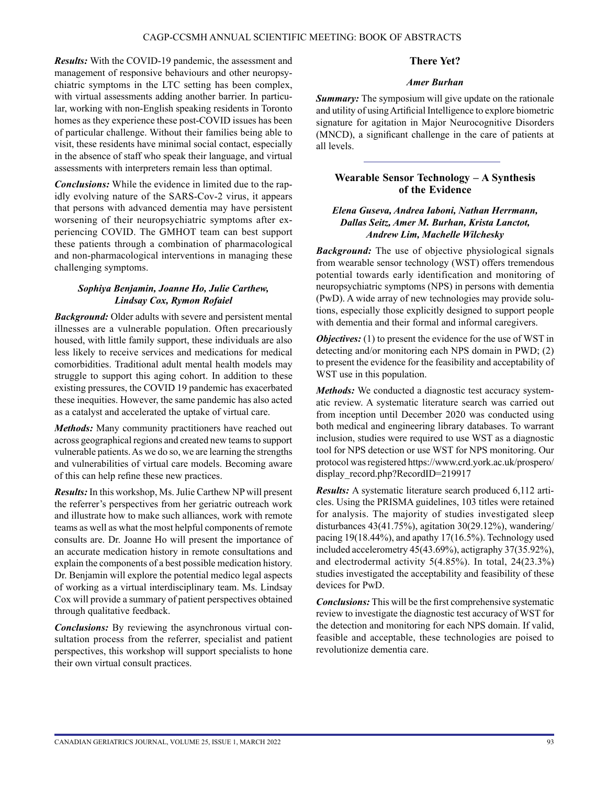*Results:* With the COVID-19 pandemic, the assessment and management of responsive behaviours and other neuropsychiatric symptoms in the LTC setting has been complex, with virtual assessments adding another barrier. In particular, working with non-English speaking residents in Toronto homes as they experience these post-COVID issues has been of particular challenge. Without their families being able to visit, these residents have minimal social contact, especially in the absence of staff who speak their language, and virtual assessments with interpreters remain less than optimal.

*Conclusions:* While the evidence in limited due to the rapidly evolving nature of the SARS-Cov-2 virus, it appears that persons with advanced dementia may have persistent worsening of their neuropsychiatric symptoms after experiencing COVID. The GMHOT team can best support these patients through a combination of pharmacological and non-pharmacological interventions in managing these challenging symptoms.

### *Sophiya Benjamin, Joanne Ho, Julie Carthew, Lindsay Cox, Rymon Rofaiel*

*Background:* Older adults with severe and persistent mental illnesses are a vulnerable population. Often precariously housed, with little family support, these individuals are also less likely to receive services and medications for medical comorbidities. Traditional adult mental health models may struggle to support this aging cohort. In addition to these existing pressures, the COVID 19 pandemic has exacerbated these inequities. However, the same pandemic has also acted as a catalyst and accelerated the uptake of virtual care.

*Methods:* Many community practitioners have reached out across geographical regions and created new teams to support vulnerable patients. As we do so, we are learning the strengths and vulnerabilities of virtual care models. Becoming aware of this can help refine these new practices.

*Results:* In this workshop, Ms. Julie Carthew NP will present the referrer's perspectives from her geriatric outreach work and illustrate how to make such alliances, work with remote teams as well as what the most helpful components of remote consults are. Dr. Joanne Ho will present the importance of an accurate medication history in remote consultations and explain the components of a best possible medication history. Dr. Benjamin will explore the potential medico legal aspects of working as a virtual interdisciplinary team. Ms. Lindsay Cox will provide a summary of patient perspectives obtained through qualitative feedback.

*Conclusions:* By reviewing the asynchronous virtual consultation process from the referrer, specialist and patient perspectives, this workshop will support specialists to hone their own virtual consult practices.

#### **There Yet?**

#### *Amer Burhan*

**Summary:** The symposium will give update on the rationale and utility of using Artificial Intelligence to explore biometric signature for agitation in Major Neurocognitive Disorders (MNCD), a significant challenge in the care of patients at all levels.

## **Wearable Sensor Technology – A Synthesis of the Evidence**

#### *Elena Guseva, Andrea Iaboni, Nathan Herrmann, Dallas Seitz, Amer M. Burhan, Krista Lanctot, Andrew Lim, Machelle Wilchesky*

*Background:* The use of objective physiological signals from wearable sensor technology (WST) offers tremendous potential towards early identification and monitoring of neuropsychiatric symptoms (NPS) in persons with dementia (PwD). A wide array of new technologies may provide solutions, especially those explicitly designed to support people with dementia and their formal and informal caregivers.

*Objectives:* (1) to present the evidence for the use of WST in detecting and/or monitoring each NPS domain in PWD; (2) to present the evidence for the feasibility and acceptability of WST use in this population.

*Methods:* We conducted a diagnostic test accuracy systematic review. A systematic literature search was carried out from inception until December 2020 was conducted using both medical and engineering library databases. To warrant inclusion, studies were required to use WST as a diagnostic tool for NPS detection or use WST for NPS monitoring. Our protocol was registered [https://www.crd.york.ac.uk/prospero/](https://www.crd.york.ac.uk/prospero/display_record.php?RecordID=219917) [display\\_record.php?RecordID=219917](https://www.crd.york.ac.uk/prospero/display_record.php?RecordID=219917)

*Results:* A systematic literature search produced 6,112 articles. Using the PRISMA guidelines, 103 titles were retained for analysis. The majority of studies investigated sleep disturbances 43(41.75%), agitation 30(29.12%), wandering/ pacing 19(18.44%), and apathy 17(16.5%). Technology used included accelerometry 45(43.69%), actigraphy 37(35.92%), and electrodermal activity 5(4.85%). In total, 24(23.3%) studies investigated the acceptability and feasibility of these devices for PwD.

*Conclusions:* This will be the first comprehensive systematic review to investigate the diagnostic test accuracy of WST for the detection and monitoring for each NPS domain. If valid, feasible and acceptable, these technologies are poised to revolutionize dementia care.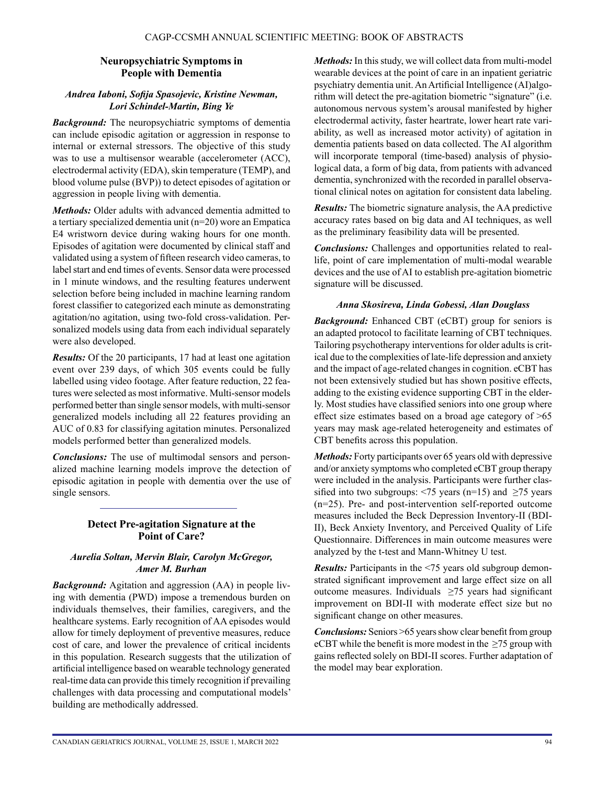## **Neuropsychiatric Symptoms in People with Dementia**

#### *Andrea Iaboni, Sofija Spasojevic, Kristine Newman, Lori Schindel-Martin, Bing Ye*

*Background:* The neuropsychiatric symptoms of dementia can include episodic agitation or aggression in response to internal or external stressors. The objective of this study was to use a multisensor wearable (accelerometer (ACC), electrodermal activity (EDA), skin temperature (TEMP), and blood volume pulse (BVP)) to detect episodes of agitation or aggression in people living with dementia.

*Methods:* Older adults with advanced dementia admitted to a tertiary specialized dementia unit (n=20) wore an Empatica E4 wristworn device during waking hours for one month. Episodes of agitation were documented by clinical staff and validated using a system of fifteen research video cameras, to label start and end times of events. Sensor data were processed in 1 minute windows, and the resulting features underwent selection before being included in machine learning random forest classifier to categorized each minute as demonstrating agitation/no agitation, using two-fold cross-validation. Personalized models using data from each individual separately were also developed.

*Results:* Of the 20 participants, 17 had at least one agitation event over 239 days, of which 305 events could be fully labelled using video footage. After feature reduction, 22 features were selected as most informative. Multi-sensor models performed better than single sensor models, with multi-sensor generalized models including all 22 features providing an AUC of 0.83 for classifying agitation minutes. Personalized models performed better than generalized models.

*Conclusions:* The use of multimodal sensors and personalized machine learning models improve the detection of episodic agitation in people with dementia over the use of single sensors.

## **Detect Pre-agitation Signature at the Point of Care?**

## *Aurelia Soltan, Mervin Blair, Carolyn McGregor, Amer M. Burhan*

*Background:* Agitation and aggression (AA) in people living with dementia (PWD) impose a tremendous burden on individuals themselves, their families, caregivers, and the healthcare systems. Early recognition of AA episodes would allow for timely deployment of preventive measures, reduce cost of care, and lower the prevalence of critical incidents in this population. Research suggests that the utilization of artificial intelligence based on wearable technology generated real-time data can provide this timely recognition if prevailing challenges with data processing and computational models' building are methodically addressed.

*Methods:* In this study, we will collect data from multi-model wearable devices at the point of care in an inpatient geriatric psychiatry dementia unit. An Artificial Intelligence (AI)algorithm will detect the pre-agitation biometric "signature" (i.e. autonomous nervous system's arousal manifested by higher electrodermal activity, faster heartrate, lower heart rate variability, as well as increased motor activity) of agitation in dementia patients based on data collected. The AI algorithm will incorporate temporal (time-based) analysis of physiological data, a form of big data, from patients with advanced dementia, synchronized with the recorded in parallel observational clinical notes on agitation for consistent data labeling.

*Results:* The biometric signature analysis, the AA predictive accuracy rates based on big data and AI techniques, as well as the preliminary feasibility data will be presented.

*Conclusions:* Challenges and opportunities related to reallife, point of care implementation of multi-modal wearable devices and the use of AI to establish pre-agitation biometric signature will be discussed.

## *Anna Skosireva, Linda Gobessi, Alan Douglass*

*Background:* Enhanced CBT (eCBT) group for seniors is an adapted protocol to facilitate learning of CBT techniques. Tailoring psychotherapy interventions for older adults is critical due to the complexities of late-life depression and anxiety and the impact of age-related changes in cognition. eCBT has not been extensively studied but has shown positive effects, adding to the existing evidence supporting CBT in the elderly. Most studies have classified seniors into one group where effect size estimates based on a broad age category of >65 years may mask age-related heterogeneity and estimates of CBT benefits across this population.

*Methods:* Forty participants over 65 years old with depressive and/or anxiety symptoms who completed eCBT group therapy were included in the analysis. Participants were further classified into two subgroups:  $\leq 75$  years (n=15) and  $\geq 75$  years (n=25). Pre- and post-intervention self-reported outcome measures included the Beck Depression Inventory-II (BDI-II), Beck Anxiety Inventory, and Perceived Quality of Life Questionnaire. Differences in main outcome measures were analyzed by the t-test and Mann-Whitney U test.

*Results:* Participants in the <75 years old subgroup demonstrated significant improvement and large effect size on all outcome measures. Individuals  $\geq$ 75 years had significant improvement on BDI-II with moderate effect size but no significant change on other measures.

*Conclusions:* Seniors >65 years show clear benefit from group eCBT while the benefit is more modest in the  $\geq$ 75 group with gains reflected solely on BDI-II scores. Further adaptation of the model may bear exploration.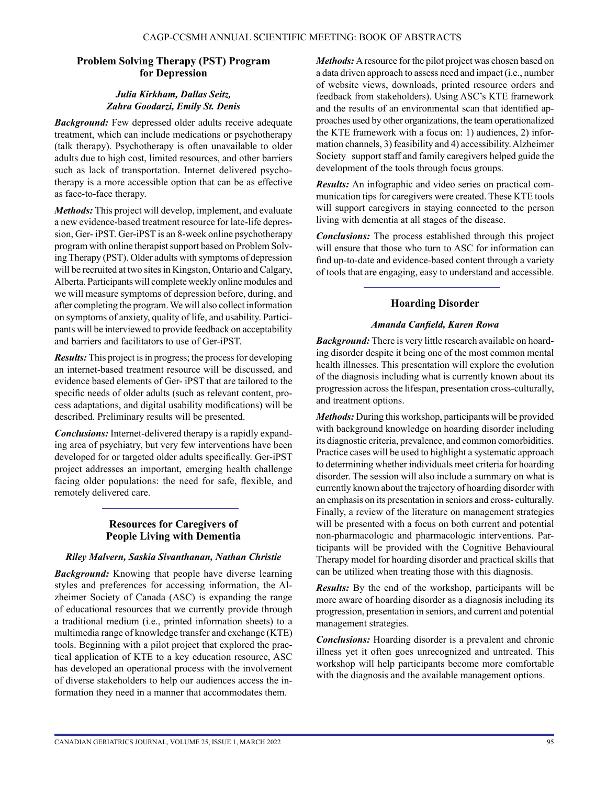#### **Problem Solving Therapy (PST) Program for Depression**

### *Julia Kirkham, Dallas Seitz, Zahra Goodarzi, Emily St. Denis*

*Background:* Few depressed older adults receive adequate treatment, which can include medications or psychotherapy (talk therapy). Psychotherapy is often unavailable to older adults due to high cost, limited resources, and other barriers such as lack of transportation. Internet delivered psychotherapy is a more accessible option that can be as effective as face-to-face therapy.

*Methods:* This project will develop, implement, and evaluate a new evidence-based treatment resource for late-life depression, Ger- iPST. Ger-iPST is an 8-week online psychotherapy program with online therapist support based on Problem Solving Therapy (PST). Older adults with symptoms of depression will be recruited at two sites in Kingston, Ontario and Calgary, Alberta. Participants will complete weekly online modules and we will measure symptoms of depression before, during, and after completing the program. We will also collect information on symptoms of anxiety, quality of life, and usability. Participants will be interviewed to provide feedback on acceptability and barriers and facilitators to use of Ger-iPST.

*Results:* This project is in progress; the process for developing an internet-based treatment resource will be discussed, and evidence based elements of Ger- iPST that are tailored to the specific needs of older adults (such as relevant content, process adaptations, and digital usability modifications) will be described. Preliminary results will be presented.

*Conclusions:* Internet-delivered therapy is a rapidly expanding area of psychiatry, but very few interventions have been developed for or targeted older adults specifically. Ger-iPST project addresses an important, emerging health challenge facing older populations: the need for safe, flexible, and remotely delivered care.

# **Resources for Caregivers of People Living with Dementia**

#### *Riley Malvern, Saskia Sivanthanan, Nathan Christie*

*Background:* Knowing that people have diverse learning styles and preferences for accessing information, the Alzheimer Society of Canada (ASC) is expanding the range of educational resources that we currently provide through a traditional medium (i.e., printed information sheets) to a multimedia range of knowledge transfer and exchange (KTE) tools. Beginning with a pilot project that explored the practical application of KTE to a key education resource, ASC has developed an operational process with the involvement of diverse stakeholders to help our audiences access the information they need in a manner that accommodates them.

*Methods:* A resource for the pilot project was chosen based on a data driven approach to assess need and impact (i.e., number of website views, downloads, printed resource orders and feedback from stakeholders). Using ASC's KTE framework and the results of an environmental scan that identified approaches used by other organizations, the team operationalized the KTE framework with a focus on: 1) audiences, 2) information channels, 3) feasibility and 4) accessibility. Alzheimer Society support staff and family caregivers helped guide the development of the tools through focus groups.

*Results:* An infographic and video series on practical communication tips for caregivers were created. These KTE tools will support caregivers in staying connected to the person living with dementia at all stages of the disease.

*Conclusions:* The process established through this project will ensure that those who turn to ASC for information can find up-to-date and evidence-based content through a variety of tools that are engaging, easy to understand and accessible.

# **Hoarding Disorder**

## *Amanda Canfield, Karen Rowa*

**Background:** There is very little research available on hoarding disorder despite it being one of the most common mental health illnesses. This presentation will explore the evolution of the diagnosis including what is currently known about its progression across the lifespan, presentation cross-culturally, and treatment options.

*Methods:* During this workshop, participants will be provided with background knowledge on hoarding disorder including its diagnostic criteria, prevalence, and common comorbidities. Practice cases will be used to highlight a systematic approach to determining whether individuals meet criteria for hoarding disorder. The session will also include a summary on what is currently known about the trajectory of hoarding disorder with an emphasis on its presentation in seniors and cross- culturally. Finally, a review of the literature on management strategies will be presented with a focus on both current and potential non-pharmacologic and pharmacologic interventions. Participants will be provided with the Cognitive Behavioural Therapy model for hoarding disorder and practical skills that can be utilized when treating those with this diagnosis.

*Results:* By the end of the workshop, participants will be more aware of hoarding disorder as a diagnosis including its progression, presentation in seniors, and current and potential management strategies.

*Conclusions:* Hoarding disorder is a prevalent and chronic illness yet it often goes unrecognized and untreated. This workshop will help participants become more comfortable with the diagnosis and the available management options.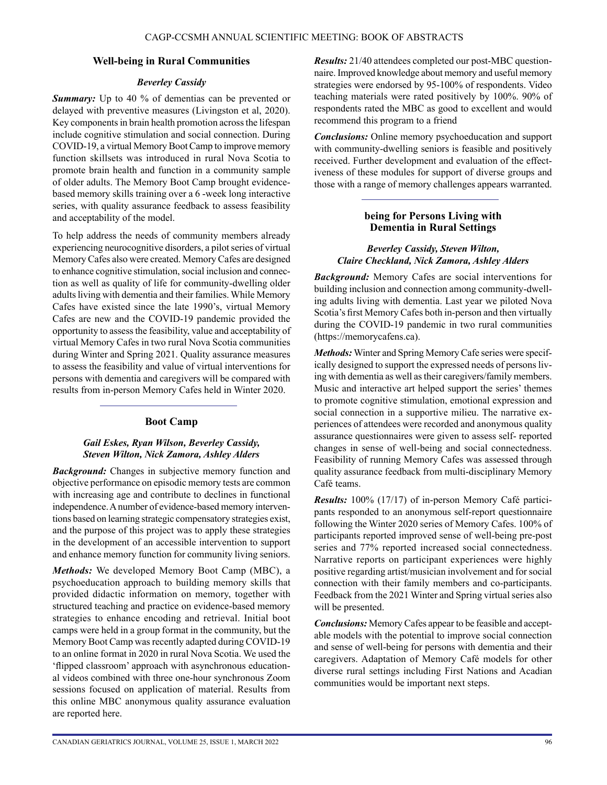## **Well-being in Rural Communities**

#### *Beverley Cassidy*

*Summary:* Up to 40 % of dementias can be prevented or delayed with preventive measures (Livingston et al, 2020). Key components in brain health promotion across the lifespan include cognitive stimulation and social connection. During COVID-19, a virtual Memory Boot Camp to improve memory function skillsets was introduced in rural Nova Scotia to promote brain health and function in a community sample of older adults. The Memory Boot Camp brought evidencebased memory skills training over a 6 -week long interactive series, with quality assurance feedback to assess feasibility and acceptability of the model.

To help address the needs of community members already experiencing neurocognitive disorders, a pilot series of virtual Memory Cafes also were created. Memory Cafes are designed to enhance cognitive stimulation, social inclusion and connection as well as quality of life for community-dwelling older adults living with dementia and their families. While Memory Cafes have existed since the late 1990's, virtual Memory Cafes are new and the COVID-19 pandemic provided the opportunity to assess the feasibility, value and acceptability of virtual Memory Cafes in two rural Nova Scotia communities during Winter and Spring 2021. Quality assurance measures to assess the feasibility and value of virtual interventions for persons with dementia and caregivers will be compared with results from in-person Memory Cafes held in Winter 2020.

#### **Boot Camp**

#### *Gail Eskes, Ryan Wilson, Beverley Cassidy, Steven Wilton, Nick Zamora, Ashley Alders*

*Background:* Changes in subjective memory function and objective performance on episodic memory tests are common with increasing age and contribute to declines in functional independence. A number of evidence-based memory interventions based on learning strategic compensatory strategies exist, and the purpose of this project was to apply these strategies in the development of an accessible intervention to support and enhance memory function for community living seniors.

*Methods:* We developed Memory Boot Camp (MBC), a psychoeducation approach to building memory skills that provided didactic information on memory, together with structured teaching and practice on evidence-based memory strategies to enhance encoding and retrieval. Initial boot camps were held in a group format in the community, but the Memory Boot Camp was recently adapted during COVID-19 to an online format in 2020 in rural Nova Scotia. We used the 'flipped classroom' approach with asynchronous educational videos combined with three one-hour synchronous Zoom sessions focused on application of material. Results from this online MBC anonymous quality assurance evaluation are reported here.

*Results:* 21/40 attendees completed our post-MBC questionnaire. Improved knowledge about memory and useful memory strategies were endorsed by 95-100% of respondents. Video teaching materials were rated positively by 100%. 90% of respondents rated the MBC as good to excellent and would recommend this program to a friend

*Conclusions:* Online memory psychoeducation and support with community-dwelling seniors is feasible and positively received. Further development and evaluation of the effectiveness of these modules for support of diverse groups and those with a range of memory challenges appears warranted.

## **being for Persons Living with Dementia in Rural Settings**

#### *Beverley Cassidy, Steven Wilton, Claire Checkland, Nick Zamora, Ashley Alders*

*Background:* Memory Cafes are social interventions for building inclusion and connection among community-dwelling adults living with dementia. Last year we piloted Nova Scotia's first Memory Cafes both in-person and then virtually during the COVID-19 pandemic in two rural communities [\(https://memorycafens.ca](https://memorycafens.ca)).

*Methods:* Winter and Spring Memory Cafe series were specifically designed to support the expressed needs of persons living with dementia as well as their caregivers/family members. Music and interactive art helped support the series' themes to promote cognitive stimulation, emotional expression and social connection in a supportive milieu. The narrative experiences of attendees were recorded and anonymous quality assurance questionnaires were given to assess self- reported changes in sense of well-being and social connectedness. Feasibility of running Memory Cafes was assessed through quality assurance feedback from multi-disciplinary Memory Café teams.

*Results:* 100% (17/17) of in-person Memory Café participants responded to an anonymous self-report questionnaire following the Winter 2020 series of Memory Cafes. 100% of participants reported improved sense of well-being pre-post series and 77% reported increased social connectedness. Narrative reports on participant experiences were highly positive regarding artist/musician involvement and for social connection with their family members and co-participants. Feedback from the 2021 Winter and Spring virtual series also will be presented.

*Conclusions:* Memory Cafes appear to be feasible and acceptable models with the potential to improve social connection and sense of well-being for persons with dementia and their caregivers. Adaptation of Memory Café models for other diverse rural settings including First Nations and Acadian communities would be important next steps.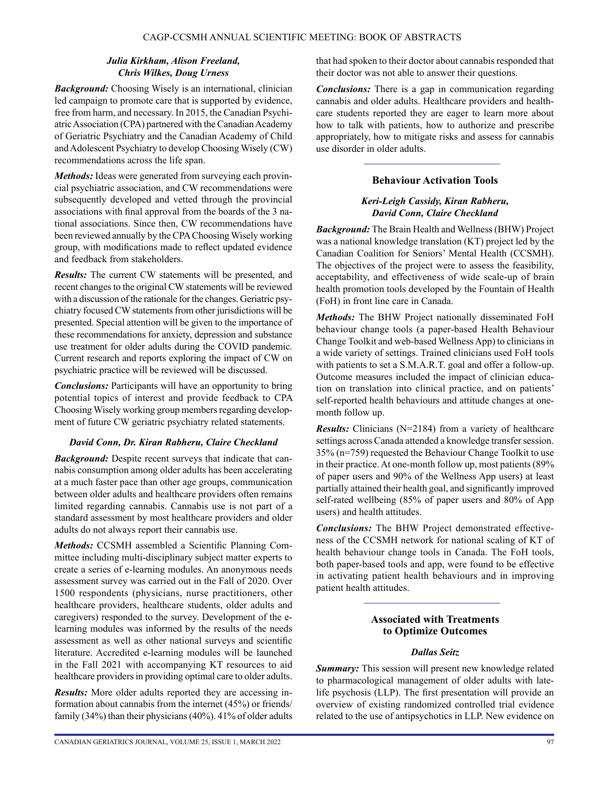## *Julia Kirkham, Alison Freeland, Chris Wilkes, Doug Urness*

*Background:* Choosing Wisely is an international, clinician led campaign to promote care that is supported by evidence, free from harm, and necessary. In 2015, the Canadian Psychiatric Association (CPA) partnered with the Canadian Academy of Geriatric Psychiatry and the Canadian Academy of Child and Adolescent Psychiatry to develop Choosing Wisely (CW) recommendations across the life span.

*Methods:* Ideas were generated from surveying each provincial psychiatric association, and CW recommendations were subsequently developed and vetted through the provincial associations with final approval from the boards of the 3 national associations. Since then, CW recommendations have been reviewed annually by the CPA Choosing Wisely working group, with modifications made to reflect updated evidence and feedback from stakeholders.

*Results:* The current CW statements will be presented, and recent changes to the original CW statements will be reviewed with a discussion of the rationale for the changes. Geriatric psychiatry focused CW statements from other jurisdictions will be presented. Special attention will be given to the importance of these recommendations for anxiety, depression and substance use treatment for older adults during the COVID pandemic. Current research and reports exploring the impact of CW on psychiatric practice will be reviewed will be discussed.

*Conclusions:* Participants will have an opportunity to bring potential topics of interest and provide feedback to CPA Choosing Wisely working group members regarding development of future CW geriatric psychiatry related statements.

## *David Conn, Dr. Kiran Rabheru, Claire Checkland*

*Background:* Despite recent surveys that indicate that cannabis consumption among older adults has been accelerating at a much faster pace than other age groups, communication between older adults and healthcare providers often remains limited regarding cannabis. Cannabis use is not part of a standard assessment by most healthcare providers and older adults do not always report their cannabis use.

*Methods:* CCSMH assembled a Scientific Planning Committee including multi-disciplinary subject matter experts to create a series of e-learning modules. An anonymous needs assessment survey was carried out in the Fall of 2020. Over 1500 respondents (physicians, nurse practitioners, other healthcare providers, healthcare students, older adults and caregivers) responded to the survey. Development of the elearning modules was informed by the results of the needs assessment as well as other national surveys and scientific literature. Accredited e-learning modules will be launched in the Fall 2021 with accompanying KT resources to aid healthcare providers in providing optimal care to older adults.

*Results:* More older adults reported they are accessing information about cannabis from the internet (45%) or friends/ family (34%) than their physicians (40%). 41% of older adults that had spoken to their doctor about cannabis responded that their doctor was not able to answer their questions.

*Conclusions:* There is a gap in communication regarding cannabis and older adults. Healthcare providers and healthcare students reported they are eager to learn more about how to talk with patients, how to authorize and prescribe appropriately, how to mitigate risks and assess for cannabis use disorder in older adults.

# **Behaviour Activation Tools**

## *Keri-Leigh Cassidy, Kiran Rabheru, David Conn, Claire Checkland*

*Background:* The Brain Health and Wellness (BHW) Project was a national knowledge translation (KT) project led by the Canadian Coalition for Seniors' Mental Health (CCSMH). The objectives of the project were to assess the feasibility, acceptability, and effectiveness of wide scale-up of brain health promotion tools developed by the Fountain of Health (FoH) in front line care in Canada.

*Methods:* The BHW Project nationally disseminated FoH behaviour change tools (a paper-based Health Behaviour Change Toolkit and web-based Wellness App) to clinicians in a wide variety of settings. Trained clinicians used FoH tools with patients to set a S.M.A.R.T. goal and offer a follow-up. Outcome measures included the impact of clinician education on translation into clinical practice, and on patients' self-reported health behaviours and attitude changes at onemonth follow up.

*Results:* Clinicians (N=2184) from a variety of healthcare settings across Canada attended a knowledge transfer session. 35% (n=759) requested the Behaviour Change Toolkit to use in their practice. At one-month follow up, most patients (89% of paper users and 90% of the Wellness App users) at least partially attained their health goal, and significantly improved self-rated wellbeing (85% of paper users and 80% of App users) and health attitudes.

*Conclusions:* The BHW Project demonstrated effectiveness of the CCSMH network for national scaling of KT of health behaviour change tools in Canada. The FoH tools, both paper-based tools and app, were found to be effective in activating patient health behaviours and in improving patient health attitudes.

# **Associated with Treatments to Optimize Outcomes**

# *Dallas Seitz*

**Summary:** This session will present new knowledge related to pharmacological management of older adults with latelife psychosis (LLP). The first presentation will provide an overview of existing randomized controlled trial evidence related to the use of antipsychotics in LLP. New evidence on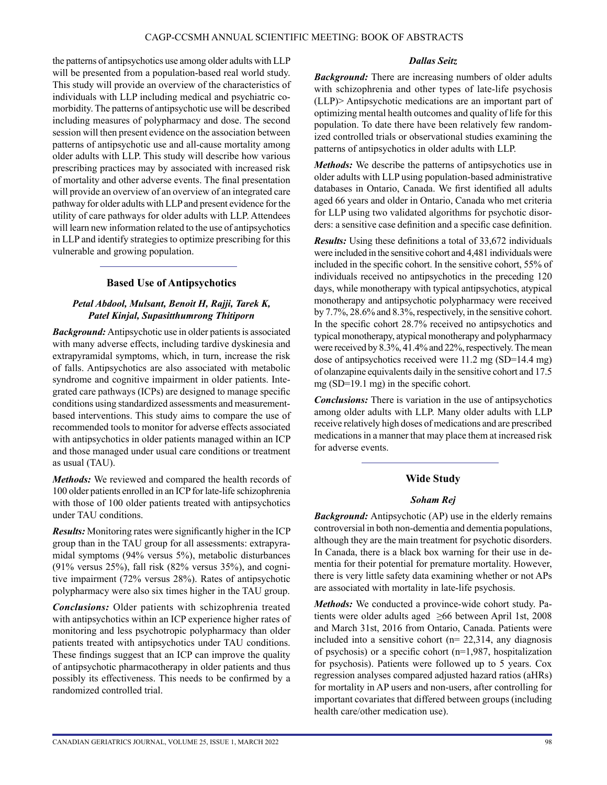the patterns of antipsychotics use among older adults with LLP will be presented from a population-based real world study. This study will provide an overview of the characteristics of individuals with LLP including medical and psychiatric comorbidity. The patterns of antipsychotic use will be described including measures of polypharmacy and dose. The second session will then present evidence on the association between patterns of antipsychotic use and all-cause mortality among older adults with LLP. This study will describe how various prescribing practices may by associated with increased risk of mortality and other adverse events. The final presentation will provide an overview of an overview of an integrated care pathway for older adults with LLP and present evidence for the utility of care pathways for older adults with LLP. Attendees will learn new information related to the use of antipsychotics in LLP and identify strategies to optimize prescribing for this vulnerable and growing population.

## **Based Use of Antipsychotics**

#### *Petal Abdool, Mulsant, Benoit H, Rajji, Tarek K, Patel Kinjal, Supasitthumrong Thitiporn*

*Background:* Antipsychotic use in older patients is associated with many adverse effects, including tardive dyskinesia and extrapyramidal symptoms, which, in turn, increase the risk of falls. Antipsychotics are also associated with metabolic syndrome and cognitive impairment in older patients. Integrated care pathways (ICPs) are designed to manage specific conditions using standardized assessments and measurementbased interventions. This study aims to compare the use of recommended tools to monitor for adverse effects associated with antipsychotics in older patients managed within an ICP and those managed under usual care conditions or treatment as usual (TAU).

*Methods:* We reviewed and compared the health records of 100 older patients enrolled in an ICP for late-life schizophrenia with those of 100 older patients treated with antipsychotics under TAU conditions.

*Results:* Monitoring rates were significantly higher in the ICP group than in the TAU group for all assessments: extrapyramidal symptoms (94% versus 5%), metabolic disturbances (91% versus 25%), fall risk (82% versus 35%), and cognitive impairment (72% versus 28%). Rates of antipsychotic polypharmacy were also six times higher in the TAU group.

*Conclusions:* Older patients with schizophrenia treated with antipsychotics within an ICP experience higher rates of monitoring and less psychotropic polypharmacy than older patients treated with antipsychotics under TAU conditions. These findings suggest that an ICP can improve the quality of antipsychotic pharmacotherapy in older patients and thus possibly its effectiveness. This needs to be confirmed by a randomized controlled trial.

#### *Dallas Seitz*

*Background:* There are increasing numbers of older adults with schizophrenia and other types of late-life psychosis (LLP)> Antipsychotic medications are an important part of optimizing mental health outcomes and quality of life for this population. To date there have been relatively few randomized controlled trials or observational studies examining the patterns of antipsychotics in older adults with LLP.

*Methods:* We describe the patterns of antipsychotics use in older adults with LLP using population-based administrative databases in Ontario, Canada. We first identified all adults aged 66 years and older in Ontario, Canada who met criteria for LLP using two validated algorithms for psychotic disorders: a sensitive case definition and a specific case definition.

*Results:* Using these definitions a total of 33,672 individuals were included in the sensitive cohort and 4,481 individuals were included in the specific cohort. In the sensitive cohort, 55% of individuals received no antipsychotics in the preceding 120 days, while monotherapy with typical antipsychotics, atypical monotherapy and antipsychotic polypharmacy were received by 7.7%, 28.6% and 8.3%, respectively, in the sensitive cohort. In the specific cohort 28.7% received no antipsychotics and typical monotherapy, atypical monotherapy and polypharmacy were received by 8.3%, 41.4% and 22%, respectively. The mean dose of antipsychotics received were 11.2 mg (SD=14.4 mg) of olanzapine equivalents daily in the sensitive cohort and 17.5 mg (SD=19.1 mg) in the specific cohort.

*Conclusions:* There is variation in the use of antipsychotics among older adults with LLP. Many older adults with LLP receive relatively high doses of medications and are prescribed medications in a manner that may place them at increased risk for adverse events.

#### **Wide Study**

#### *Soham Rej*

*Background:* Antipsychotic (AP) use in the elderly remains controversial in both non-dementia and dementia populations, although they are the main treatment for psychotic disorders. In Canada, there is a black box warning for their use in dementia for their potential for premature mortality. However, there is very little safety data examining whether or not APs are associated with mortality in late-life psychosis.

*Methods:* We conducted a province-wide cohort study. Patients were older adults aged ≥66 between April 1st, 2008 and March 31st, 2016 from Ontario, Canada. Patients were included into a sensitive cohort  $(n= 22,314, \text{ any diagnosis})$ of psychosis) or a specific cohort (n=1,987, hospitalization for psychosis). Patients were followed up to 5 years. Cox regression analyses compared adjusted hazard ratios (aHRs) for mortality in AP users and non-users, after controlling for important covariates that differed between groups (including health care/other medication use).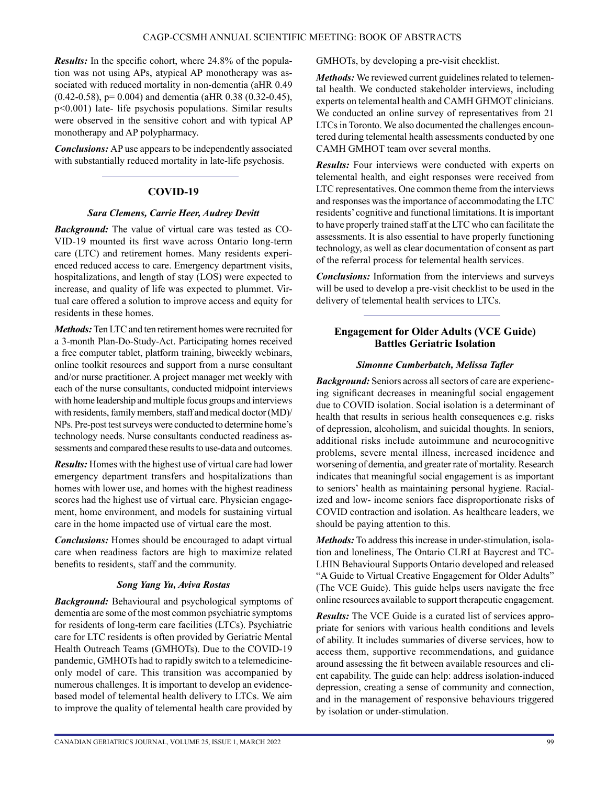*Results:* In the specific cohort, where 24.8% of the population was not using APs, atypical AP monotherapy was associated with reduced mortality in non-dementia (aHR 0.49 (0.42-0.58), p= 0.004) and dementia (aHR 0.38 (0.32-0.45), p<0.001) late- life psychosis populations. Similar results were observed in the sensitive cohort and with typical AP monotherapy and AP polypharmacy.

*Conclusions:* AP use appears to be independently associated with substantially reduced mortality in late-life psychosis.

## **COVID-19**

#### *Sara Clemens, Carrie Heer, Audrey Devitt*

*Background:* The value of virtual care was tested as CO-VID-19 mounted its first wave across Ontario long-term care (LTC) and retirement homes. Many residents experienced reduced access to care. Emergency department visits, hospitalizations, and length of stay (LOS) were expected to increase, and quality of life was expected to plummet. Virtual care offered a solution to improve access and equity for residents in these homes.

*Methods:* Ten LTC and ten retirement homes were recruited for a 3-month Plan-Do-Study-Act. Participating homes received a free computer tablet, platform training, biweekly webinars, online toolkit resources and support from a nurse consultant and/or nurse practitioner. A project manager met weekly with each of the nurse consultants, conducted midpoint interviews with home leadership and multiple focus groups and interviews with residents, family members, staff and medical doctor (MD)/ NPs. Pre-post test surveys were conducted to determine home's technology needs. Nurse consultants conducted readiness assessments and compared these results to use-data and outcomes.

*Results:* Homes with the highest use of virtual care had lower emergency department transfers and hospitalizations than homes with lower use, and homes with the highest readiness scores had the highest use of virtual care. Physician engagement, home environment, and models for sustaining virtual care in the home impacted use of virtual care the most.

*Conclusions:* Homes should be encouraged to adapt virtual care when readiness factors are high to maximize related benefits to residents, staff and the community.

#### *Song Yang Yu, Aviva Rostas*

*Background:* Behavioural and psychological symptoms of dementia are some of the most common psychiatric symptoms for residents of long-term care facilities (LTCs). Psychiatric care for LTC residents is often provided by Geriatric Mental Health Outreach Teams (GMHOTs). Due to the COVID-19 pandemic, GMHOTs had to rapidly switch to a telemedicineonly model of care. This transition was accompanied by numerous challenges. It is important to develop an evidencebased model of telemental health delivery to LTCs. We aim to improve the quality of telemental health care provided by GMHOTs, by developing a pre-visit checklist.

*Methods:* We reviewed current guidelines related to telemental health. We conducted stakeholder interviews, including experts on telemental health and CAMH GHMOT clinicians. We conducted an online survey of representatives from 21 LTCs in Toronto. We also documented the challenges encountered during telemental health assessments conducted by one CAMH GMHOT team over several months.

*Results:* Four interviews were conducted with experts on telemental health, and eight responses were received from LTC representatives. One common theme from the interviews and responses was the importance of accommodating the LTC residents' cognitive and functional limitations. It is important to have properly trained staff at the LTC who can facilitate the assessments. It is also essential to have properly functioning technology, as well as clear documentation of consent as part of the referral process for telemental health services.

*Conclusions:* Information from the interviews and surveys will be used to develop a pre-visit checklist to be used in the delivery of telemental health services to LTCs.

## **Engagement for Older Adults (VCE Guide) Battles Geriatric Isolation**

#### *Simonne Cumberbatch, Melissa Tafler*

*Background:* Seniors across all sectors of care are experiencing significant decreases in meaningful social engagement due to COVID isolation. Social isolation is a determinant of health that results in serious health consequences e.g. risks of depression, alcoholism, and suicidal thoughts. In seniors, additional risks include autoimmune and neurocognitive problems, severe mental illness, increased incidence and worsening of dementia, and greater rate of mortality. Research indicates that meaningful social engagement is as important to seniors' health as maintaining personal hygiene. Racialized and low- income seniors face disproportionate risks of COVID contraction and isolation. As healthcare leaders, we should be paying attention to this.

*Methods:* To address this increase in under-stimulation, isolation and loneliness, The Ontario CLRI at Baycrest and TC-LHIN Behavioural Supports Ontario developed and released "A Guide to Virtual Creative Engagement for Older Adults" (The VCE Guide). This guide helps users navigate the free online resources available to support therapeutic engagement.

*Results:* The VCE Guide is a curated list of services appropriate for seniors with various health conditions and levels of ability. It includes summaries of diverse services, how to access them, supportive recommendations, and guidance around assessing the fit between available resources and client capability. The guide can help: address isolation-induced depression, creating a sense of community and connection, and in the management of responsive behaviours triggered by isolation or under-stimulation.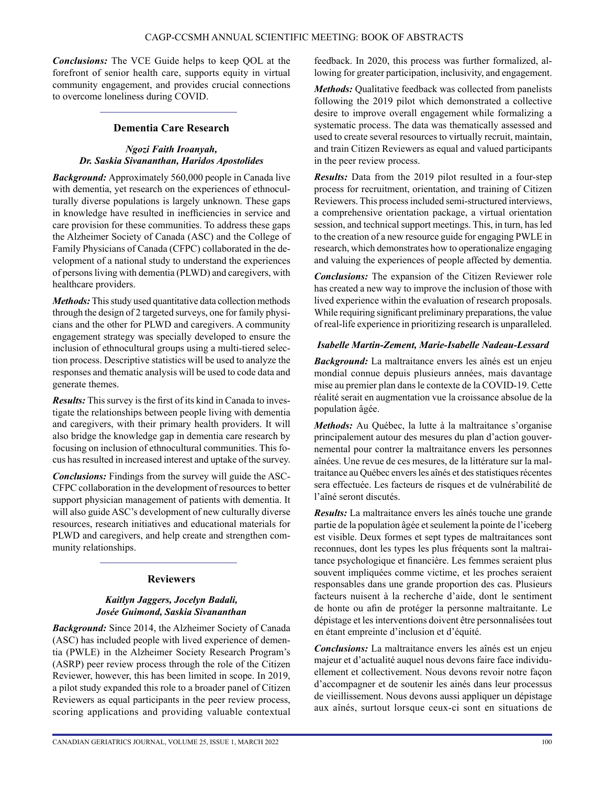*Conclusions:* The VCE Guide helps to keep QOL at the forefront of senior health care, supports equity in virtual community engagement, and provides crucial connections to overcome loneliness during COVID.

## **Dementia Care Research**

## *Ngozi Faith Iroanyah, Dr. Saskia Sivananthan, Haridos Apostolides*

*Background:* Approximately 560,000 people in Canada live with dementia, yet research on the experiences of ethnoculturally diverse populations is largely unknown. These gaps in knowledge have resulted in inefficiencies in service and care provision for these communities. To address these gaps the Alzheimer Society of Canada (ASC) and the College of Family Physicians of Canada (CFPC) collaborated in the development of a national study to understand the experiences of persons living with dementia (PLWD) and caregivers, with healthcare providers.

*Methods:* This study used quantitative data collection methods through the design of 2 targeted surveys, one for family physicians and the other for PLWD and caregivers. A community engagement strategy was specially developed to ensure the inclusion of ethnocultural groups using a multi-tiered selection process. Descriptive statistics will be used to analyze the responses and thematic analysis will be used to code data and generate themes.

*Results:* This survey is the first of its kind in Canada to investigate the relationships between people living with dementia and caregivers, with their primary health providers. It will also bridge the knowledge gap in dementia care research by focusing on inclusion of ethnocultural communities. This focus has resulted in increased interest and uptake of the survey.

*Conclusions:* Findings from the survey will guide the ASC-CFPC collaboration in the development of resources to better support physician management of patients with dementia. It will also guide ASC's development of new culturally diverse resources, research initiatives and educational materials for PLWD and caregivers, and help create and strengthen community relationships.

# **Reviewers**

## *Kaitlyn Jaggers, Jocelyn Badali, Josée Guimond, Saskia Sivananthan*

*Background:* Since 2014, the Alzheimer Society of Canada (ASC) has included people with lived experience of dementia (PWLE) in the Alzheimer Society Research Program's (ASRP) peer review process through the role of the Citizen Reviewer, however, this has been limited in scope. In 2019, a pilot study expanded this role to a broader panel of Citizen Reviewers as equal participants in the peer review process, scoring applications and providing valuable contextual feedback. In 2020, this process was further formalized, allowing for greater participation, inclusivity, and engagement.

*Methods:* Qualitative feedback was collected from panelists following the 2019 pilot which demonstrated a collective desire to improve overall engagement while formalizing a systematic process. The data was thematically assessed and used to create several resources to virtually recruit, maintain, and train Citizen Reviewers as equal and valued participants in the peer review process.

*Results:* Data from the 2019 pilot resulted in a four-step process for recruitment, orientation, and training of Citizen Reviewers. This process included semi-structured interviews, a comprehensive orientation package, a virtual orientation session, and technical support meetings. This, in turn, has led to the creation of a new resource guide for engaging PWLE in research, which demonstrates how to operationalize engaging and valuing the experiences of people affected by dementia.

*Conclusions:* The expansion of the Citizen Reviewer role has created a new way to improve the inclusion of those with lived experience within the evaluation of research proposals. While requiring significant preliminary preparations, the value of real-life experience in prioritizing research is unparalleled.

## *Isabelle Martin-Zement, Marie-Isabelle Nadeau-Lessard*

*Background:* La maltraitance envers les aînés est un enjeu mondial connue depuis plusieurs années, mais davantage mise au premier plan dans le contexte de la COVID-19. Cette réalité serait en augmentation vue la croissance absolue de la population âgée.

*Methods:* Au Québec, la lutte à la maltraitance s'organise principalement autour des mesures du plan d'action gouvernemental pour contrer la maltraitance envers les personnes aînées. Une revue de ces mesures, de la littérature sur la maltraitance au Québec envers les aînés et des statistiques récentes sera effectuée. Les facteurs de risques et de vulnérabilité de l'aîné seront discutés.

*Results:* La maltraitance envers les aînés touche une grande partie de la population âgée et seulement la pointe de l'iceberg est visible. Deux formes et sept types de maltraitances sont reconnues, dont les types les plus fréquents sont la maltraitance psychologique et financière. Les femmes seraient plus souvent impliquées comme victime, et les proches seraient responsables dans une grande proportion des cas. Plusieurs facteurs nuisent à la recherche d'aide, dont le sentiment de honte ou afin de protéger la personne maltraitante. Le dépistage et les interventions doivent être personnalisées tout en étant empreinte d'inclusion et d'équité.

*Conclusions:* La maltraitance envers les aînés est un enjeu majeur et d'actualité auquel nous devons faire face individuellement et collectivement. Nous devons revoir notre façon d'accompagner et de soutenir les ainés dans leur processus de vieillissement. Nous devons aussi appliquer un dépistage aux aînés, surtout lorsque ceux-ci sont en situations de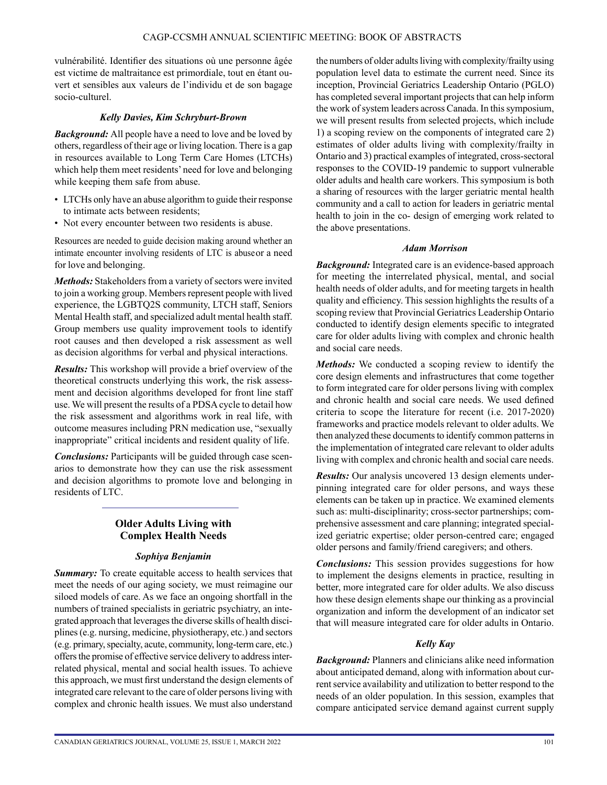vulnérabilité. Identifier des situations où une personne âgée est victime de maltraitance est primordiale, tout en étant ouvert et sensibles aux valeurs de l'individu et de son bagage socio-culturel.

#### *Kelly Davies, Kim Schryburt-Brown*

*Background:* All people have a need to love and be loved by others, regardless of their age or living location. There is a gap in resources available to Long Term Care Homes (LTCHs) which help them meet residents' need for love and belonging while keeping them safe from abuse.

- LTCHs only have an abuse algorithm to guide their response to intimate acts between residents;
- Not every encounter between two residents is abuse.

Resources are needed to guide decision making around whether an intimate encounter involving residents of LTC is abuse or a need for love and belonging.

*Methods:* Stakeholders from a variety of sectors were invited to join a working group. Members represent people with lived experience, the LGBTQ2S community, LTCH staff, Seniors Mental Health staff, and specialized adult mental health staff. Group members use quality improvement tools to identify root causes and then developed a risk assessment as well as decision algorithms for verbal and physical interactions.

*Results:* This workshop will provide a brief overview of the theoretical constructs underlying this work, the risk assessment and decision algorithms developed for front line staff use. We will present the results of a PDSA cycle to detail how the risk assessment and algorithms work in real life, with outcome measures including PRN medication use, "sexually inappropriate" critical incidents and resident quality of life.

*Conclusions:* Participants will be guided through case scenarios to demonstrate how they can use the risk assessment and decision algorithms to promote love and belonging in residents of LTC.

## **Older Adults Living with Complex Health Needs**

#### *Sophiya Benjamin*

**Summary:** To create equitable access to health services that meet the needs of our aging society, we must reimagine our siloed models of care. As we face an ongoing shortfall in the numbers of trained specialists in geriatric psychiatry, an integrated approach that leverages the diverse skills of health disciplines (e.g. nursing, medicine, physiotherapy, etc.) and sectors (e.g. primary, specialty, acute, community, long-term care, etc.) offers the promise of effective service delivery to address interrelated physical, mental and social health issues. To achieve this approach, we must first understand the design elements of integrated care relevant to the care of older persons living with complex and chronic health issues. We must also understand

the numbers of older adults living with complexity/frailty using population level data to estimate the current need. Since its inception, Provincial Geriatrics Leadership Ontario (PGLO) has completed several important projects that can help inform the work of system leaders across Canada. In this symposium, we will present results from selected projects, which include 1) a scoping review on the components of integrated care 2) estimates of older adults living with complexity/frailty in Ontario and 3) practical examples of integrated, cross-sectoral responses to the COVID-19 pandemic to support vulnerable older adults and health care workers. This symposium is both a sharing of resources with the larger geriatric mental health community and a call to action for leaders in geriatric mental health to join in the co- design of emerging work related to the above presentations.

#### *Adam Morrison*

*Background:* Integrated care is an evidence-based approach for meeting the interrelated physical, mental, and social health needs of older adults, and for meeting targets in health quality and efficiency. This session highlights the results of a scoping review that Provincial Geriatrics Leadership Ontario conducted to identify design elements specific to integrated care for older adults living with complex and chronic health and social care needs.

*Methods:* We conducted a scoping review to identify the core design elements and infrastructures that come together to form integrated care for older persons living with complex and chronic health and social care needs. We used defined criteria to scope the literature for recent (i.e. 2017-2020) frameworks and practice models relevant to older adults. We then analyzed these documents to identify common patterns in the implementation of integrated care relevant to older adults living with complex and chronic health and social care needs.

*Results:* Our analysis uncovered 13 design elements underpinning integrated care for older persons, and ways these elements can be taken up in practice. We examined elements such as: multi-disciplinarity; cross-sector partnerships; comprehensive assessment and care planning; integrated specialized geriatric expertise; older person-centred care; engaged older persons and family/friend caregivers; and others.

*Conclusions:* This session provides suggestions for how to implement the designs elements in practice, resulting in better, more integrated care for older adults. We also discuss how these design elements shape our thinking as a provincial organization and inform the development of an indicator set that will measure integrated care for older adults in Ontario.

#### *Kelly Kay*

*Background:* Planners and clinicians alike need information about anticipated demand, along with information about current service availability and utilization to better respond to the needs of an older population. In this session, examples that compare anticipated service demand against current supply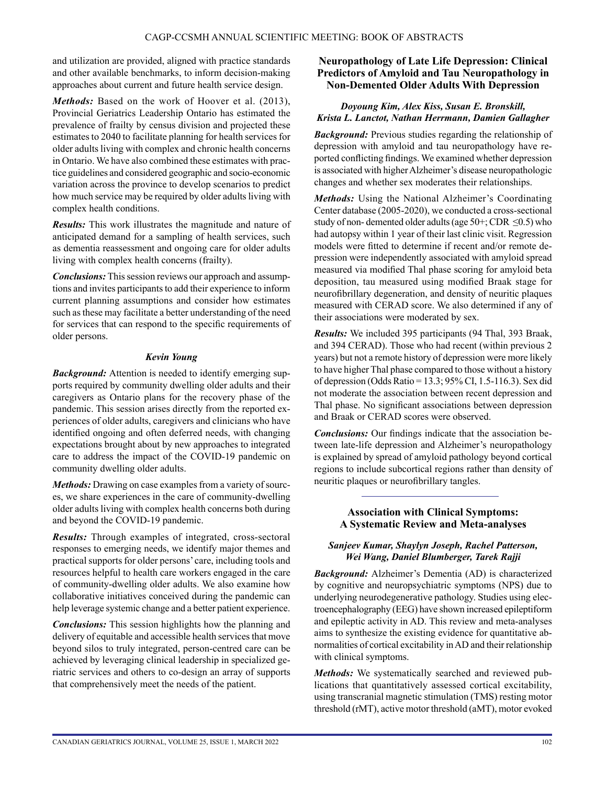and utilization are provided, aligned with practice standards and other available benchmarks, to inform decision-making approaches about current and future health service design.

*Methods:* Based on the work of Hoover et al. (2013), Provincial Geriatrics Leadership Ontario has estimated the prevalence of frailty by census division and projected these estimates to 2040 to facilitate planning for health services for older adults living with complex and chronic health concerns in Ontario. We have also combined these estimates with practice guidelines and considered geographic and socio-economic variation across the province to develop scenarios to predict how much service may be required by older adults living with complex health conditions.

*Results:* This work illustrates the magnitude and nature of anticipated demand for a sampling of health services, such as dementia reassessment and ongoing care for older adults living with complex health concerns (frailty).

*Conclusions:* This session reviews our approach and assumptions and invites participants to add their experience to inform current planning assumptions and consider how estimates such as these may facilitate a better understanding of the need for services that can respond to the specific requirements of older persons.

## *Kevin Young*

*Background:* Attention is needed to identify emerging supports required by community dwelling older adults and their caregivers as Ontario plans for the recovery phase of the pandemic. This session arises directly from the reported experiences of older adults, caregivers and clinicians who have identified ongoing and often deferred needs, with changing expectations brought about by new approaches to integrated care to address the impact of the COVID-19 pandemic on community dwelling older adults.

*Methods:* Drawing on case examples from a variety of sources, we share experiences in the care of community-dwelling older adults living with complex health concerns both during and beyond the COVID-19 pandemic.

*Results:* Through examples of integrated, cross-sectoral responses to emerging needs, we identify major themes and practical supports for older persons' care, including tools and resources helpful to health care workers engaged in the care of community-dwelling older adults. We also examine how collaborative initiatives conceived during the pandemic can help leverage systemic change and a better patient experience.

*Conclusions:* This session highlights how the planning and delivery of equitable and accessible health services that move beyond silos to truly integrated, person-centred care can be achieved by leveraging clinical leadership in specialized geriatric services and others to co-design an array of supports that comprehensively meet the needs of the patient.

## **Neuropathology of Late Life Depression: Clinical Predictors of Amyloid and Tau Neuropathology in Non-Demented Older Adults With Depression**

# *Doyoung Kim, Alex Kiss, Susan E. Bronskill, Krista L. Lanctot, Nathan Herrmann, Damien Gallagher*

*Background:* Previous studies regarding the relationship of depression with amyloid and tau neuropathology have reported conflicting findings. We examined whether depression is associated with higher Alzheimer's disease neuropathologic changes and whether sex moderates their relationships.

*Methods:* Using the National Alzheimer's Coordinating Center database (2005-2020), we conducted a cross-sectional study of non-demented older adults (age  $50+$ ; CDR  $\leq 0.5$ ) who had autopsy within 1 year of their last clinic visit. Regression models were fitted to determine if recent and/or remote depression were independently associated with amyloid spread measured via modified Thal phase scoring for amyloid beta deposition, tau measured using modified Braak stage for neurofibrillary degeneration, and density of neuritic plaques measured with CERAD score. We also determined if any of their associations were moderated by sex.

*Results:* We included 395 participants (94 Thal, 393 Braak, and 394 CERAD). Those who had recent (within previous 2 years) but not a remote history of depression were more likely to have higher Thal phase compared to those without a history of depression (Odds Ratio = 13.3; 95% CI, 1.5-116.3). Sex did not moderate the association between recent depression and Thal phase. No significant associations between depression and Braak or CERAD scores were observed.

*Conclusions:* Our findings indicate that the association between late-life depression and Alzheimer's neuropathology is explained by spread of amyloid pathology beyond cortical regions to include subcortical regions rather than density of neuritic plaques or neurofibrillary tangles.

## **Association with Clinical Symptoms: A Systematic Review and Meta-analyses**

## *Sanjeev Kumar, Shaylyn Joseph, Rachel Patterson, Wei Wang, Daniel Blumberger, Tarek Rajji*

*Background:* Alzheimer's Dementia (AD) is characterized by cognitive and neuropsychiatric symptoms (NPS) due to underlying neurodegenerative pathology. Studies using electroencephalography (EEG) have shown increased epileptiform and epileptic activity in AD. This review and meta-analyses aims to synthesize the existing evidence for quantitative abnormalities of cortical excitability in AD and their relationship with clinical symptoms.

*Methods:* We systematically searched and reviewed publications that quantitatively assessed cortical excitability, using transcranial magnetic stimulation (TMS) resting motor threshold (rMT), active motor threshold (aMT), motor evoked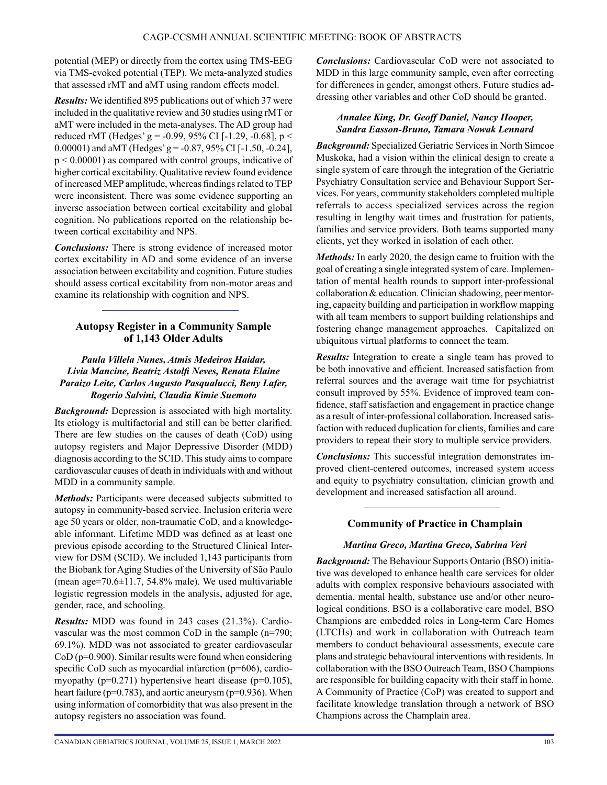potential (MEP) or directly from the cortex using TMS-EEG via TMS-evoked potential (TEP). We meta-analyzed studies that assessed rMT and aMT using random effects model.

*Results:* We identified 895 publications out of which 37 were included in the qualitative review and 30 studies using rMT or aMT were included in the meta-analyses. The AD group had reduced rMT (Hedges' g = -0.99, 95% CI [-1.29, -0.68], p < 0.00001) and aMT (Hedges' g =  $-0.87$ , 95% CI [-1.50, -0.24],  $p \le 0.00001$ ) as compared with control groups, indicative of higher cortical excitability. Qualitative review found evidence of increased MEP amplitude, whereas findings related to TEP were inconsistent. There was some evidence supporting an inverse association between cortical excitability and global cognition. No publications reported on the relationship between cortical excitability and NPS.

*Conclusions:* There is strong evidence of increased motor cortex excitability in AD and some evidence of an inverse association between excitability and cognition. Future studies should assess cortical excitability from non-motor areas and examine its relationship with cognition and NPS.

## **Autopsy Register in a Community Sample of 1,143 Older Adults**

## *Paula Villela Nunes, Atmis Medeiros Haidar, Livia Mancine, Beatriz Astolfi Neves, Renata Elaine Paraizo Leite, Carlos Augusto Pasqualucci, Beny Lafer, Rogerio Salvini, Claudia Kimie Suemoto*

*Background:* Depression is associated with high mortality. Its etiology is multifactorial and still can be better clarified. There are few studies on the causes of death (CoD) using autopsy registers and Major Depressive Disorder (MDD) diagnosis according to the SCID. This study aims to compare cardiovascular causes of death in individuals with and without MDD in a community sample.

*Methods:* Participants were deceased subjects submitted to autopsy in community-based service. Inclusion criteria were age 50 years or older, non-traumatic CoD, and a knowledgeable informant. Lifetime MDD was defined as at least one previous episode according to the Structured Clinical Interview for DSM (SCID). We included 1,143 participants from the Biobank for Aging Studies of the University of São Paulo (mean age=70.6±11.7, 54.8% male). We used multivariable logistic regression models in the analysis, adjusted for age, gender, race, and schooling.

*Results:* MDD was found in 243 cases (21.3%). Cardiovascular was the most common CoD in the sample (n=790; 69.1%). MDD was not associated to greater cardiovascular CoD (p=0.900). Similar results were found when considering specific CoD such as myocardial infarction (p=606), cardiomyopathy ( $p=0.271$ ) hypertensive heart disease ( $p=0.105$ ), heart failure (p=0.783), and aortic aneurysm (p=0.936). When using information of comorbidity that was also present in the autopsy registers no association was found.

*Conclusions:* Cardiovascular CoD were not associated to MDD in this large community sample, even after correcting for differences in gender, amongst others. Future studies addressing other variables and other CoD should be granted.

## *Annalee King, Dr. Geoff Daniel, Nancy Hooper, Sandra Easson-Bruno, Tamara Nowak Lennard*

*Background:* Specialized Geriatric Services in North Simcoe Muskoka, had a vision within the clinical design to create a single system of care through the integration of the Geriatric Psychiatry Consultation service and Behaviour Support Services. For years, community stakeholders completed multiple referrals to access specialized services across the region resulting in lengthy wait times and frustration for patients, families and service providers. Both teams supported many clients, yet they worked in isolation of each other.

*Methods:* In early 2020, the design came to fruition with the goal of creating a single integrated system of care. Implementation of mental health rounds to support inter-professional collaboration & education. Clinician shadowing, peer mentoring, capacity building and participation in workflow mapping with all team members to support building relationships and fostering change management approaches. Capitalized on ubiquitous virtual platforms to connect the team.

*Results:* Integration to create a single team has proved to be both innovative and efficient. Increased satisfaction from referral sources and the average wait time for psychiatrist consult improved by 55%. Evidence of improved team confidence, staff satisfaction and engagement in practice change as a result of inter-professional collaboration. Increased satisfaction with reduced duplication for clients, families and care providers to repeat their story to multiple service providers.

*Conclusions:* This successful integration demonstrates improved client-centered outcomes, increased system access and equity to psychiatry consultation, clinician growth and development and increased satisfaction all around.

# **Community of Practice in Champlain**

# *Martina Greco, Martina Greco, Sabrina Veri*

*Background:* The Behaviour Supports Ontario (BSO) initiative was developed to enhance health care services for older adults with complex responsive behaviours associated with dementia, mental health, substance use and/or other neurological conditions. BSO is a collaborative care model, BSO Champions are embedded roles in Long-term Care Homes (LTCHs) and work in collaboration with Outreach team members to conduct behavioural assessments, execute care plans and strategic behavioural interventions with residents. In collaboration with the BSO Outreach Team, BSO Champions are responsible for building capacity with their staff in home. A Community of Practice (CoP) was created to support and facilitate knowledge translation through a network of BSO Champions across the Champlain area.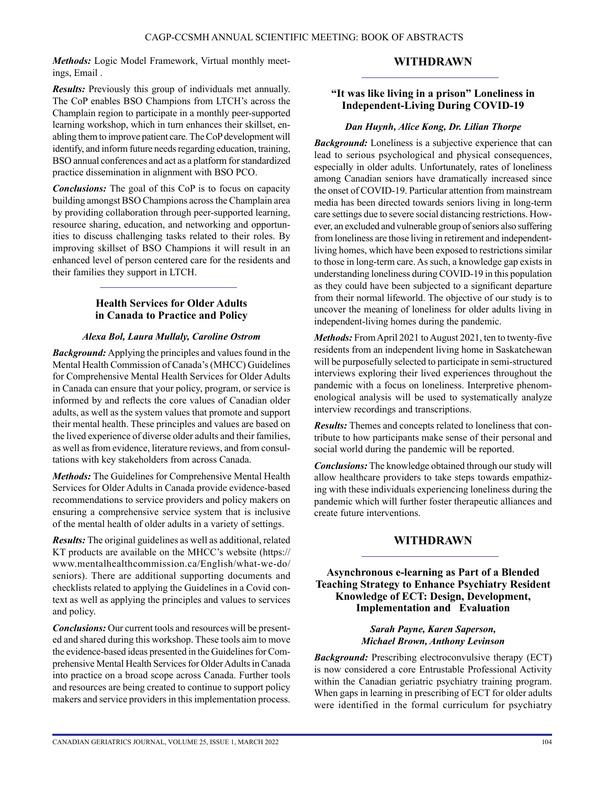*Methods:* Logic Model Framework, Virtual monthly meetings, Email .

## **WITHDRAWN**

*Results:* Previously this group of individuals met annually. The CoP enables BSO Champions from LTCH's across the Champlain region to participate in a monthly peer-supported learning workshop, which in turn enhances their skillset, enabling them to improve patient care. The CoP development will identify, and inform future needs regarding education, training, BSO annual conferences and act as a platform for standardized practice dissemination in alignment with BSO PCO.

*Conclusions:* The goal of this CoP is to focus on capacity building amongst BSO Champions across the Champlain area by providing collaboration through peer-supported learning, resource sharing, education, and networking and opportunities to discuss challenging tasks related to their roles. By improving skillset of BSO Champions it will result in an enhanced level of person centered care for the residents and their families they support in LTCH.

## **Health Services for Older Adults in Canada to Practice and Policy**

#### *Alexa Bol, Laura Mullaly, Caroline Ostrom*

*Background:* Applying the principles and values found in the Mental Health Commission of Canada's (MHCC) Guidelines for Comprehensive Mental Health Services for Older Adults in Canada can ensure that your policy, program, or service is informed by and reflects the core values of Canadian older adults, as well as the system values that promote and support their mental health. These principles and values are based on the lived experience of diverse older adults and their families, as well as from evidence, literature reviews, and from consultations with key stakeholders from across Canada.

*Methods:* The Guidelines for Comprehensive Mental Health Services for Older Adults in Canada provide evidence-based recommendations to service providers and policy makers on ensuring a comprehensive service system that is inclusive of the mental health of older adults in a variety of settings.

*Results:* The original guidelines as well as additional, related KT products are available on the MHCC's website (https[://](http://www.mentalhealthcommission.ca/English/what-we-do/seniors)) [www.](http://www.mentalhealthcommission.ca/English/what-we-do/seniors))me[ntalhealthcommission.ca/English/what-we-do/](http://www.mentalhealthcommission.ca/English/what-we-do/seniors)) [seniors\).](http://www.mentalhealthcommission.ca/English/what-we-do/seniors)) There are additional supporting documents and checklists related to applying the Guidelines in a Covid context as well as applying the principles and values to services and policy.

*Conclusions:* Our current tools and resources will be presented and shared during this workshop. These tools aim to move the evidence-based ideas presented in the Guidelines for Comprehensive Mental Health Services for Older Adults in Canada into practice on a broad scope across Canada. Further tools and resources are being created to continue to support policy makers and service providers in this implementation process.

## **"It was like living in a prison" Loneliness in Independent-Living During COVID-19**

## *Dan Huynh, Alice Kong, Dr. Lilian Thorpe*

*Background:* Loneliness is a subjective experience that can lead to serious psychological and physical consequences, especially in older adults. Unfortunately, rates of loneliness among Canadian seniors have dramatically increased since the onset of COVID-19. Particular attention from mainstream media has been directed towards seniors living in long-term care settings due to severe social distancing restrictions. However, an excluded and vulnerable group of seniors also suffering from loneliness are those living in retirement and independentliving homes, which have been exposed to restrictions similar to those in long-term care. As such, a knowledge gap exists in understanding loneliness during COVID-19 in this population as they could have been subjected to a significant departure from their normal lifeworld. The objective of our study is to uncover the meaning of loneliness for older adults living in independent-living homes during the pandemic.

*Methods:* From April 2021 to August 2021, ten to twenty-five residents from an independent living home in Saskatchewan will be purposefully selected to participate in semi-structured interviews exploring their lived experiences throughout the pandemic with a focus on loneliness. Interpretive phenomenological analysis will be used to systematically analyze interview recordings and transcriptions.

*Results:* Themes and concepts related to loneliness that contribute to how participants make sense of their personal and social world during the pandemic will be reported.

*Conclusions:* The knowledge obtained through our study will allow healthcare providers to take steps towards empathizing with these individuals experiencing loneliness during the pandemic which will further foster therapeutic alliances and create future interventions.

# **WITHDRAWN**

## **Asynchronous e-learning as Part of a Blended Teaching Strategy to Enhance Psychiatry Resident Knowledge of ECT: Design, Development, Implementation and Evaluation**

#### *Sarah Payne, Karen Saperson, Michael Brown, Anthony Levinson*

*Background:* Prescribing electroconvulsive therapy (ECT) is now considered a core Entrustable Professional Activity within the Canadian geriatric psychiatry training program. When gaps in learning in prescribing of ECT for older adults were identified in the formal curriculum for psychiatry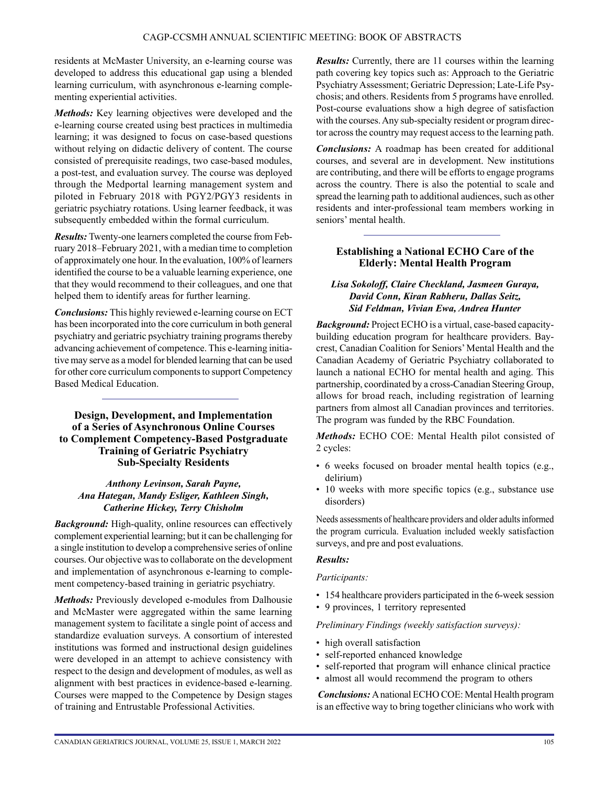residents at McMaster University, an e-learning course was developed to address this educational gap using a blended learning curriculum, with asynchronous e-learning complementing experiential activities.

*Methods:* Key learning objectives were developed and the e-learning course created using best practices in multimedia learning; it was designed to focus on case-based questions without relying on didactic delivery of content. The course consisted of prerequisite readings, two case-based modules, a post-test, and evaluation survey. The course was deployed through the Medportal learning management system and piloted in February 2018 with PGY2/PGY3 residents in geriatric psychiatry rotations. Using learner feedback, it was subsequently embedded within the formal curriculum.

*Results:* Twenty-one learners completed the course from February 2018–February 2021, with a median time to completion of approximately one hour. In the evaluation, 100% of learners identified the course to be a valuable learning experience, one that they would recommend to their colleagues, and one that helped them to identify areas for further learning.

*Conclusions:* This highly reviewed e-learning course on ECT has been incorporated into the core curriculum in both general psychiatry and geriatric psychiatry training programs thereby advancing achievement of competence. This e-learning initiative may serve as a model for blended learning that can be used for other core curriculum components to support Competency Based Medical Education.

**Design, Development, and Implementation of a Series of Asynchronous Online Courses to Complement Competency-Based Postgraduate Training of Geriatric Psychiatry Sub-Specialty Residents**

### *Anthony Levinson, Sarah Payne, Ana Hategan, Mandy Esliger, Kathleen Singh, Catherine Hickey, Terry Chisholm*

*Background:* High-quality, online resources can effectively complement experiential learning; but it can be challenging for a single institution to develop a comprehensive series of online courses. Our objective was to collaborate on the development and implementation of asynchronous e-learning to complement competency-based training in geriatric psychiatry.

*Methods:* Previously developed e-modules from Dalhousie and McMaster were aggregated within the same learning management system to facilitate a single point of access and standardize evaluation surveys. A consortium of interested institutions was formed and instructional design guidelines were developed in an attempt to achieve consistency with respect to the design and development of modules, as well as alignment with best practices in evidence-based e-learning. Courses were mapped to the Competence by Design stages of training and Entrustable Professional Activities.

*Results:* Currently, there are 11 courses within the learning path covering key topics such as: Approach to the Geriatric Psychiatry Assessment; Geriatric Depression; Late-Life Psychosis; and others. Residents from 5 programs have enrolled. Post-course evaluations show a high degree of satisfaction with the courses. Any sub-specialty resident or program director across the country may request access to the learning path.

*Conclusions:* A roadmap has been created for additional courses, and several are in development. New institutions are contributing, and there will be efforts to engage programs across the country. There is also the potential to scale and spread the learning path to additional audiences, such as other residents and inter-professional team members working in seniors' mental health.

## **Establishing a National ECHO Care of the Elderly: Mental Health Program**

### *Lisa Sokoloff, Claire Checkland, Jasmeen Guraya, David Conn, Kiran Rabheru, Dallas Seitz, Sid Feldman, Vivian Ewa, Andrea Hunter*

*Background:* Project ECHO is a virtual, case-based capacitybuilding education program for healthcare providers. Baycrest, Canadian Coalition for Seniors' Mental Health and the Canadian Academy of Geriatric Psychiatry collaborated to launch a national ECHO for mental health and aging. This partnership, coordinated by a cross-Canadian Steering Group, allows for broad reach, including registration of learning partners from almost all Canadian provinces and territories. The program was funded by the RBC Foundation.

*Methods:* ECHO COE: Mental Health pilot consisted of 2 cycles:

- 6 weeks focused on broader mental health topics (e.g., delirium)
- 10 weeks with more specific topics (e.g., substance use disorders)

Needs assessments of healthcare providers and older adults informed the program curricula. Evaluation included weekly satisfaction surveys, and pre and post evaluations.

## *Results:*

#### *Participants:*

- 154 healthcare providers participated in the 6-week session
- 9 provinces, 1 territory represented

#### *Preliminary Findings (weekly satisfaction surveys):*

- high overall satisfaction
- self-reported enhanced knowledge
- self-reported that program will enhance clinical practice
- almost all would recommend the program to others

 *Conclusions:* A national ECHO COE: Mental Health program is an effective way to bring together clinicians who work with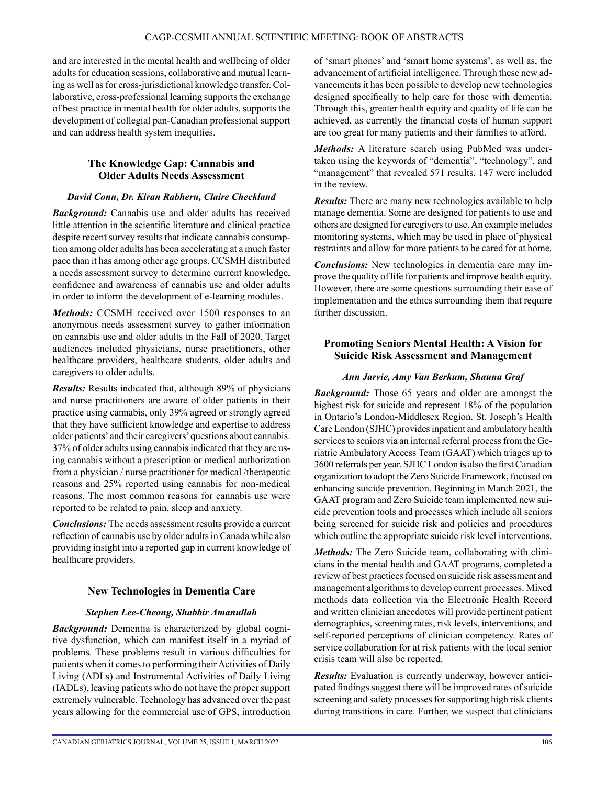and are interested in the mental health and wellbeing of older adults for education sessions, collaborative and mutual learning as well as for cross-jurisdictional knowledge transfer. Collaborative, cross-professional learning supports the exchange of best practice in mental health for older adults, supports the development of collegial pan-Canadian professional support and can address health system inequities.

## **The Knowledge Gap: Cannabis and Older Adults Needs Assessment**

#### *David Conn, Dr. Kiran Rabheru, Claire Checkland*

*Background:* Cannabis use and older adults has received little attention in the scientific literature and clinical practice despite recent survey results that indicate cannabis consumption among older adults has been accelerating at a much faster pace than it has among other age groups. CCSMH distributed a needs assessment survey to determine current knowledge, confidence and awareness of cannabis use and older adults in order to inform the development of e-learning modules.

*Methods:* CCSMH received over 1500 responses to an anonymous needs assessment survey to gather information on cannabis use and older adults in the Fall of 2020. Target audiences included physicians, nurse practitioners, other healthcare providers, healthcare students, older adults and caregivers to older adults.

*Results:* Results indicated that, although 89% of physicians and nurse practitioners are aware of older patients in their practice using cannabis, only 39% agreed or strongly agreed that they have sufficient knowledge and expertise to address older patients' and their caregivers' questions about cannabis. 37% of older adults using cannabis indicated that they are using cannabis without a prescription or medical authorization from a physician / nurse practitioner for medical /therapeutic reasons and 25% reported using cannabis for non-medical reasons. The most common reasons for cannabis use were reported to be related to pain, sleep and anxiety.

*Conclusions:* The needs assessment results provide a current reflection of cannabis use by older adults in Canada while also providing insight into a reported gap in current knowledge of healthcare providers.

## **New Technologies in Dementia Care**

## *Stephen Lee-Cheong, Shabbir Amanullah*

*Background:* Dementia is characterized by global cognitive dysfunction, which can manifest itself in a myriad of problems. These problems result in various difficulties for patients when it comes to performing their Activities of Daily Living (ADLs) and Instrumental Activities of Daily Living (IADLs), leaving patients who do not have the proper support extremely vulnerable. Technology has advanced over the past years allowing for the commercial use of GPS, introduction of 'smart phones' and 'smart home systems', as well as, the advancement of artificial intelligence. Through these new advancements it has been possible to develop new technologies designed specifically to help care for those with dementia. Through this, greater health equity and quality of life can be achieved, as currently the financial costs of human support are too great for many patients and their families to afford.

*Methods:* A literature search using PubMed was undertaken using the keywords of "dementia", "technology", and "management" that revealed 571 results. 147 were included in the review.

*Results:* There are many new technologies available to help manage dementia. Some are designed for patients to use and others are designed for caregivers to use. An example includes monitoring systems, which may be used in place of physical restraints and allow for more patients to be cared for at home.

*Conclusions:* New technologies in dementia care may improve the quality of life for patients and improve health equity. However, there are some questions surrounding their ease of implementation and the ethics surrounding them that require further discussion.

## **Promoting Seniors Mental Health: A Vision for Suicide Risk Assessment and Management**

## *Ann Jarvie, Amy Van Berkum, Shauna Graf*

*Background:* Those 65 years and older are amongst the highest risk for suicide and represent 18% of the population in Ontario's London-Middlesex Region. St. Joseph's Health Care London (SJHC) provides inpatient and ambulatory health services to seniors via an internal referral process from the Geriatric Ambulatory Access Team (GAAT) which triages up to 3600 referrals per year. SJHC London is also the first Canadian organization to adopt the Zero Suicide Framework, focused on enhancing suicide prevention. Beginning in March 2021, the GAAT program and Zero Suicide team implemented new suicide prevention tools and processes which include all seniors being screened for suicide risk and policies and procedures which outline the appropriate suicide risk level interventions.

*Methods:* The Zero Suicide team, collaborating with clinicians in the mental health and GAAT programs, completed a review of best practices focused on suicide risk assessment and management algorithms to develop current processes. Mixed methods data collection via the Electronic Health Record and written clinician anecdotes will provide pertinent patient demographics, screening rates, risk levels, interventions, and self-reported perceptions of clinician competency. Rates of service collaboration for at risk patients with the local senior crisis team will also be reported.

*Results:* Evaluation is currently underway, however anticipated findings suggest there will be improved rates of suicide screening and safety processes for supporting high risk clients during transitions in care. Further, we suspect that clinicians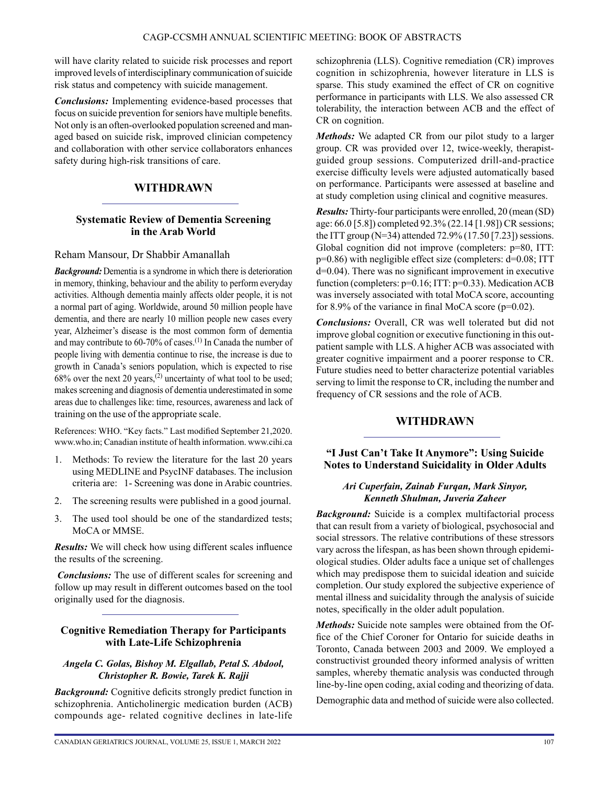will have clarity related to suicide risk processes and report improved levels of interdisciplinary communication of suicide risk status and competency with suicide management.

*Conclusions:* Implementing evidence-based processes that focus on suicide prevention for seniors have multiple benefits. Not only is an often-overlooked population screened and managed based on suicide risk, improved clinician competency and collaboration with other service collaborators enhances safety during high-risk transitions of care.

# **WITHDRAWN**

## **Systematic Review of Dementia Screening in the Arab World**

## Reham Mansour, Dr Shabbir Amanallah

*Background:* Dementia is a syndrome in which there is deterioration in memory, thinking, behaviour and the ability to perform everyday activities. Although dementia mainly affects older people, it is not a normal part of aging. Worldwide, around 50 million people have dementia, and there are nearly 10 million people new cases every year, Alzheimer's disease is the most common form of dementia and may contribute to 60-70% of cases.(1) In Canada the number of people living with dementia continue to rise, the increase is due to growth in Canada's seniors population, which is expected to rise 68% over the next 20 years,(2) uncertainty of what tool to be used; makes screening and diagnosis of dementia underestimated in some areas due to challenges like: time, resources, awareness and lack of training on the use of the appropriate scale.

References: WHO. "Key facts." Last modified September 21,2020. [www.who.in;](http://www.who.in/) Canadian institute of health information. [www.cihi.ca](http://www.cihi.ca/)

- 1. Methods: To review the literature for the last 20 years using MEDLINE and PsycINF databases. The inclusion criteria are: 1- Screening was done in Arabic countries.
- 2. The screening results were published in a good journal.
- 3. The used tool should be one of the standardized tests; MoCA or MMSE.

*Results:* We will check how using different scales influence the results of the screening.

 *Conclusions:* The use of different scales for screening and follow up may result in different outcomes based on the tool originally used for the diagnosis.

## **Cognitive Remediation Therapy for Participants with Late-Life Schizophrenia**

#### *Angela C. Golas, Bishoy M. Elgallab, Petal S. Abdool, Christopher R. Bowie, Tarek K. Rajji*

*Background:* Cognitive deficits strongly predict function in schizophrenia. Anticholinergic medication burden (ACB) compounds age- related cognitive declines in late-life schizophrenia (LLS). Cognitive remediation (CR) improves cognition in schizophrenia, however literature in LLS is sparse. This study examined the effect of CR on cognitive performance in participants with LLS. We also assessed CR tolerability, the interaction between ACB and the effect of CR on cognition.

*Methods:* We adapted CR from our pilot study to a larger group. CR was provided over 12, twice-weekly, therapistguided group sessions. Computerized drill-and-practice exercise difficulty levels were adjusted automatically based on performance. Participants were assessed at baseline and at study completion using clinical and cognitive measures.

*Results:* Thirty-four participants were enrolled, 20 (mean (SD) age: 66.0 [5.8]) completed 92.3% (22.14 [1.98]) CR sessions; the ITT group (N=34) attended 72.9% (17.50 [7.23]) sessions. Global cognition did not improve (completers: p=80, ITT: p=0.86) with negligible effect size (completers: d=0.08; ITT d=0.04). There was no significant improvement in executive function (completers: p=0.16; ITT: p=0.33). Medication ACB was inversely associated with total MoCA score, accounting for 8.9% of the variance in final MoCA score ( $p=0.02$ ).

*Conclusions:* Overall, CR was well tolerated but did not improve global cognition or executive functioning in this outpatient sample with LLS. A higher ACB was associated with greater cognitive impairment and a poorer response to CR. Future studies need to better characterize potential variables serving to limit the response to CR, including the number and frequency of CR sessions and the role of ACB.

# **WITHDRAWN**

## **"I Just Can't Take It Anymore": Using Suicide Notes to Understand Suicidality in Older Adults**

#### *Ari Cuperfain, Zainab Furqan, Mark Sinyor, Kenneth Shulman, Juveria Zaheer*

*Background:* Suicide is a complex multifactorial process that can result from a variety of biological, psychosocial and social stressors. The relative contributions of these stressors vary across the lifespan, as has been shown through epidemiological studies. Older adults face a unique set of challenges which may predispose them to suicidal ideation and suicide completion. Our study explored the subjective experience of mental illness and suicidality through the analysis of suicide notes, specifically in the older adult population.

*Methods:* Suicide note samples were obtained from the Office of the Chief Coroner for Ontario for suicide deaths in Toronto, Canada between 2003 and 2009. We employed a constructivist grounded theory informed analysis of written samples, whereby thematic analysis was conducted through line-by-line open coding, axial coding and theorizing of data.

Demographic data and method of suicide were also collected.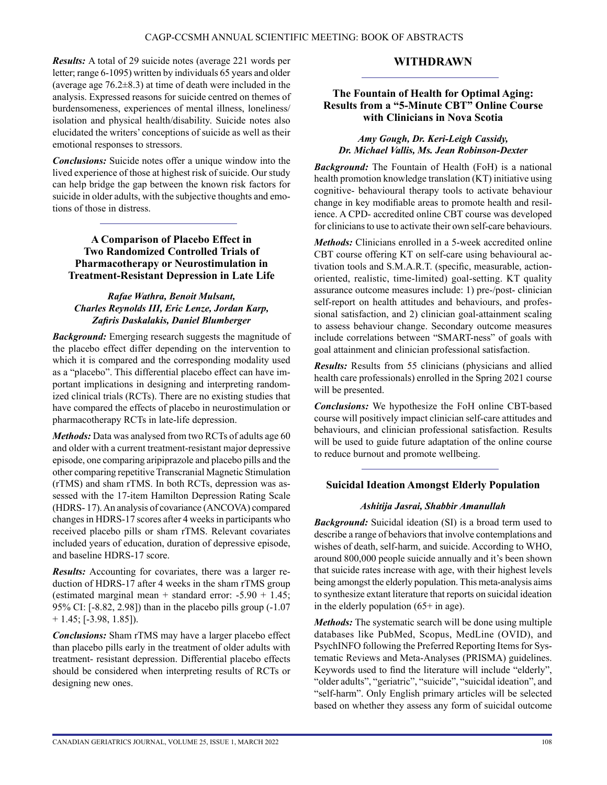*Results:* A total of 29 suicide notes (average 221 words per letter; range 6-1095) written by individuals 65 years and older (average age  $76.2\pm8.3$ ) at time of death were included in the analysis. Expressed reasons for suicide centred on themes of burdensomeness, experiences of mental illness, loneliness/ isolation and physical health/disability. Suicide notes also elucidated the writers' conceptions of suicide as well as their emotional responses to stressors.

*Conclusions:* Suicide notes offer a unique window into the lived experience of those at highest risk of suicide. Our study can help bridge the gap between the known risk factors for suicide in older adults, with the subjective thoughts and emotions of those in distress.

## **A Comparison of Placebo Effect in Two Randomized Controlled Trials of Pharmacotherapy or Neurostimulation in Treatment-Resistant Depression in Late Life**

## *Rafae Wathra, Benoit Mulsant, Charles Reynolds III, Eric Lenze, Jordan Karp, Zafiris Daskalakis, Daniel Blumberger*

*Background:* Emerging research suggests the magnitude of the placebo effect differ depending on the intervention to which it is compared and the corresponding modality used as a "placebo". This differential placebo effect can have important implications in designing and interpreting randomized clinical trials (RCTs). There are no existing studies that have compared the effects of placebo in neurostimulation or pharmacotherapy RCTs in late-life depression.

*Methods:* Data was analysed from two RCTs of adults age 60 and older with a current treatment-resistant major depressive episode, one comparing aripiprazole and placebo pills and the other comparing repetitive Transcranial Magnetic Stimulation (rTMS) and sham rTMS. In both RCTs, depression was assessed with the 17-item Hamilton Depression Rating Scale (HDRS- 17). An analysis of covariance (ANCOVA) compared changes in HDRS-17 scores after 4 weeks in participants who received placebo pills or sham rTMS. Relevant covariates included years of education, duration of depressive episode, and baseline HDRS-17 score.

*Results:* Accounting for covariates, there was a larger reduction of HDRS-17 after 4 weeks in the sham rTMS group (estimated marginal mean + standard error:  $-5.90 + 1.45$ ; 95% CI: [-8.82, 2.98]) than in the placebo pills group (-1.07  $+ 1.45$ ; [-3.98, 1.85]).

*Conclusions:* Sham rTMS may have a larger placebo effect than placebo pills early in the treatment of older adults with treatment- resistant depression. Differential placebo effects should be considered when interpreting results of RCTs or designing new ones.

## **WITHDRAWN**

## **The Fountain of Health for Optimal Aging: Results from a "5-Minute CBT" Online Course with Clinicians in Nova Scotia**

#### *Amy Gough, Dr. Keri-Leigh Cassidy, Dr. Michael Vallis, Ms. Jean Robinson-Dexter*

*Background:* The Fountain of Health (FoH) is a national health promotion knowledge translation (KT) initiative using cognitive- behavioural therapy tools to activate behaviour change in key modifiable areas to promote health and resilience. A CPD- accredited online CBT course was developed for clinicians to use to activate their own self-care behaviours.

*Methods:* Clinicians enrolled in a 5-week accredited online CBT course offering KT on self-care using behavioural activation tools and S.M.A.R.T. (specific, measurable, actionoriented, realistic, time-limited) goal-setting. KT quality assurance outcome measures include: 1) pre-/post- clinician self-report on health attitudes and behaviours, and professional satisfaction, and 2) clinician goal-attainment scaling to assess behaviour change. Secondary outcome measures include correlations between "SMART-ness" of goals with goal attainment and clinician professional satisfaction.

*Results:* Results from 55 clinicians (physicians and allied health care professionals) enrolled in the Spring 2021 course will be presented.

*Conclusions:* We hypothesize the FoH online CBT-based course will positively impact clinician self-care attitudes and behaviours, and clinician professional satisfaction. Results will be used to guide future adaptation of the online course to reduce burnout and promote wellbeing.

#### **Suicidal Ideation Amongst Elderly Population**

#### *Ashitija Jasrai, Shabbir Amanullah*

*Background:* Suicidal ideation (SI) is a broad term used to describe a range of behaviors that involve contemplations and wishes of death, self-harm, and suicide. According to WHO, around 800,000 people suicide annually and it's been shown that suicide rates increase with age, with their highest levels being amongst the elderly population. This meta-analysis aims to synthesize extant literature that reports on suicidal ideation in the elderly population (65+ in age).

*Methods:* The systematic search will be done using multiple databases like PubMed, Scopus, MedLine (OVID), and PsychINFO following the Preferred Reporting Items for Systematic Reviews and Meta-Analyses (PRISMA) guidelines. Keywords used to find the literature will include "elderly", "older adults", "geriatric", "suicide", "suicidal ideation", and "self-harm". Only English primary articles will be selected based on whether they assess any form of suicidal outcome